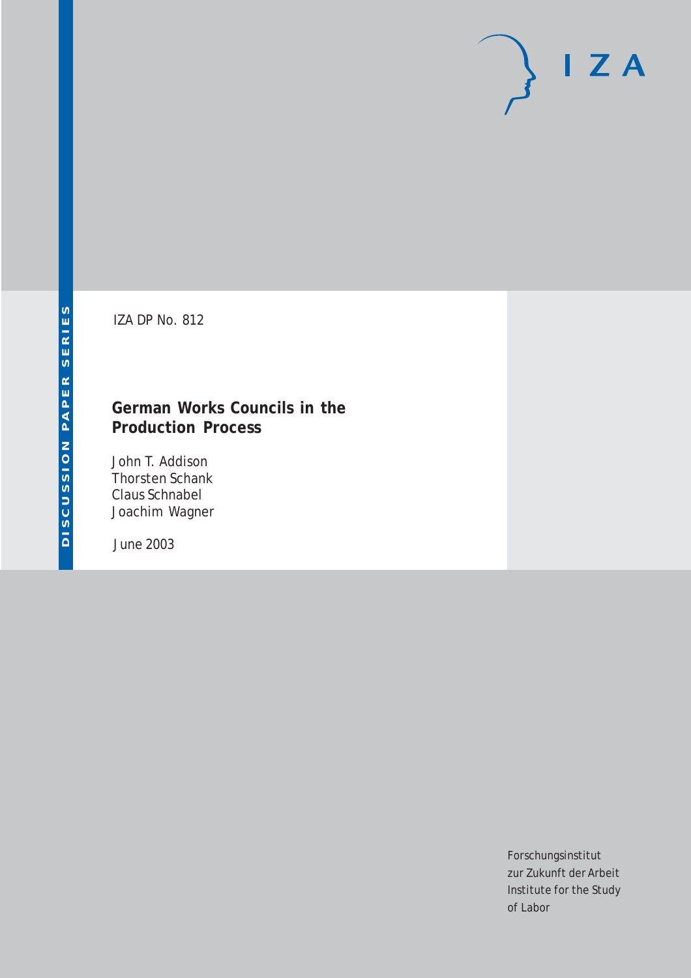# $I Z A$

IZA DP No. 812

## **German Works Councils in the Production Process**

John T. Addison Thorsten Schank Claus Schnabel Joachim Wagner

June 2003

Forschungsinstitut zur Zukunft der Arbeit Institute for the Study of Labor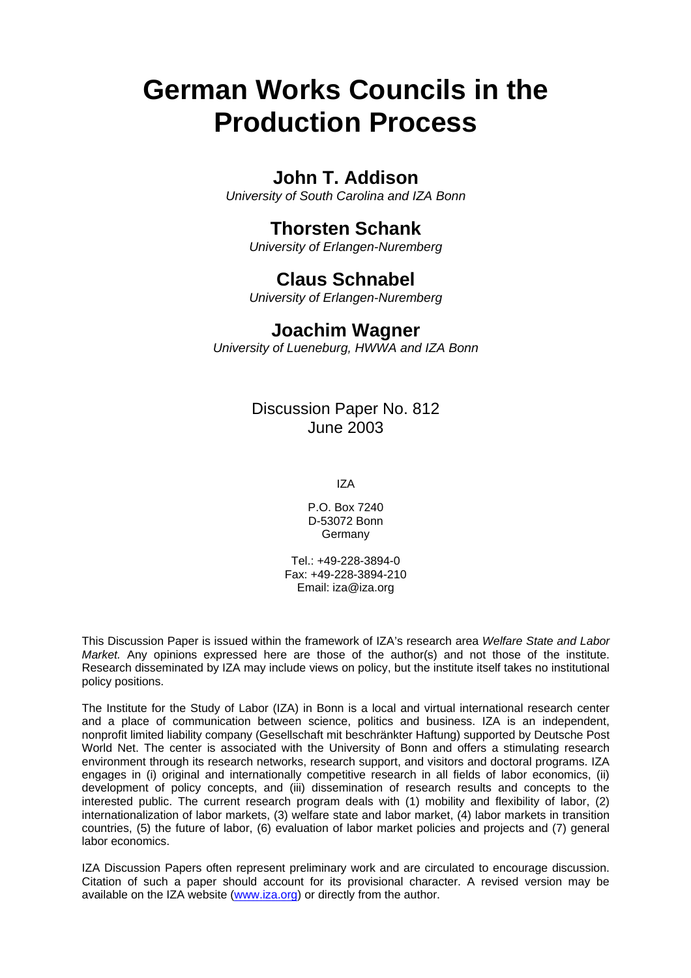# **German Works Councils in the Production Process**

## **John T. Addison**

*University of South Carolina and IZA Bonn* 

## **Thorsten Schank**

*University of Erlangen-Nuremberg*

## **Claus Schnabel**

*University of Erlangen-Nuremberg*

### **Joachim Wagner**

*University of Lueneburg, HWWA and IZA Bonn*

## Discussion Paper No. 812 June 2003

IZA

P.O. Box 7240 D-53072 Bonn Germany

Tel.: +49-228-3894-0 Fax: +49-228-3894-210 Email: [iza@iza.org](mailto:iza@iza.org)

This Discussion Paper is issued within the framework of IZA's research area *Welfare State and Labor Market.* Any opinions expressed here are those of the author(s) and not those of the institute. Research disseminated by IZA may include views on policy, but the institute itself takes no institutional policy positions.

The Institute for the Study of Labor (IZA) in Bonn is a local and virtual international research center and a place of communication between science, politics and business. IZA is an independent, nonprofit limited liability company (Gesellschaft mit beschränkter Haftung) supported by Deutsche Post World Net. The center is associated with the University of Bonn and offers a stimulating research environment through its research networks, research support, and visitors and doctoral programs. IZA engages in (i) original and internationally competitive research in all fields of labor economics, (ii) development of policy concepts, and (iii) dissemination of research results and concepts to the interested public. The current research program deals with (1) mobility and flexibility of labor, (2) internationalization of labor markets, (3) welfare state and labor market, (4) labor markets in transition countries, (5) the future of labor, (6) evaluation of labor market policies and projects and (7) general labor economics.

IZA Discussion Papers often represent preliminary work and are circulated to encourage discussion. Citation of such a paper should account for its provisional character. A revised version may be available on the IZA website ([www.iza.org](http://www.iza.org/)) or directly from the author.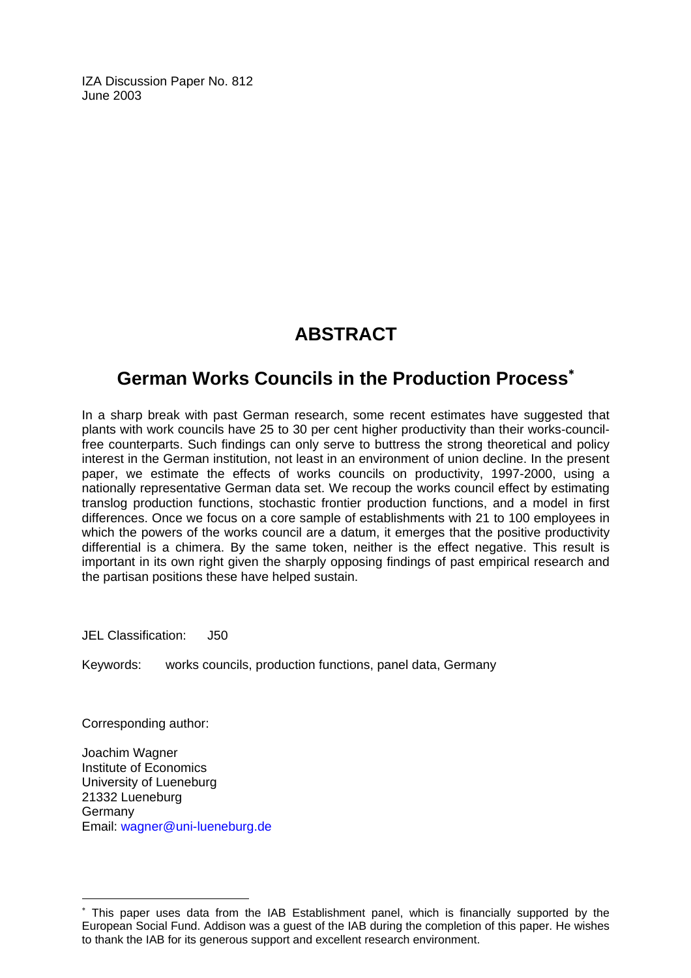IZA Discussion Paper No. 812 June 2003

## **ABSTRACT**

## **German Works Councils in the Production Process**[∗](#page-2-0)

In a sharp break with past German research, some recent estimates have suggested that plants with work councils have 25 to 30 per cent higher productivity than their works-councilfree counterparts. Such findings can only serve to buttress the strong theoretical and policy interest in the German institution, not least in an environment of union decline. In the present paper, we estimate the effects of works councils on productivity, 1997-2000, using a nationally representative German data set. We recoup the works council effect by estimating translog production functions, stochastic frontier production functions, and a model in first differences. Once we focus on a core sample of establishments with 21 to 100 employees in which the powers of the works council are a datum, it emerges that the positive productivity differential is a chimera. By the same token, neither is the effect negative. This result is important in its own right given the sharply opposing findings of past empirical research and the partisan positions these have helped sustain.

JEL Classification: J50

Keywords: works councils, production functions, panel data, Germany

Corresponding author:

 $\overline{a}$ 

Joachim Wagner Institute of Economics University of Lueneburg 21332 Lueneburg **Germany** Email: [wagner@uni-lueneburg.de](mailto:wagner@uni-lueneburg.de)

<span id="page-2-0"></span><sup>∗</sup> This paper uses data from the IAB Establishment panel, which is financially supported by the European Social Fund. Addison was a guest of the IAB during the completion of this paper. He wishes to thank the IAB for its generous support and excellent research environment.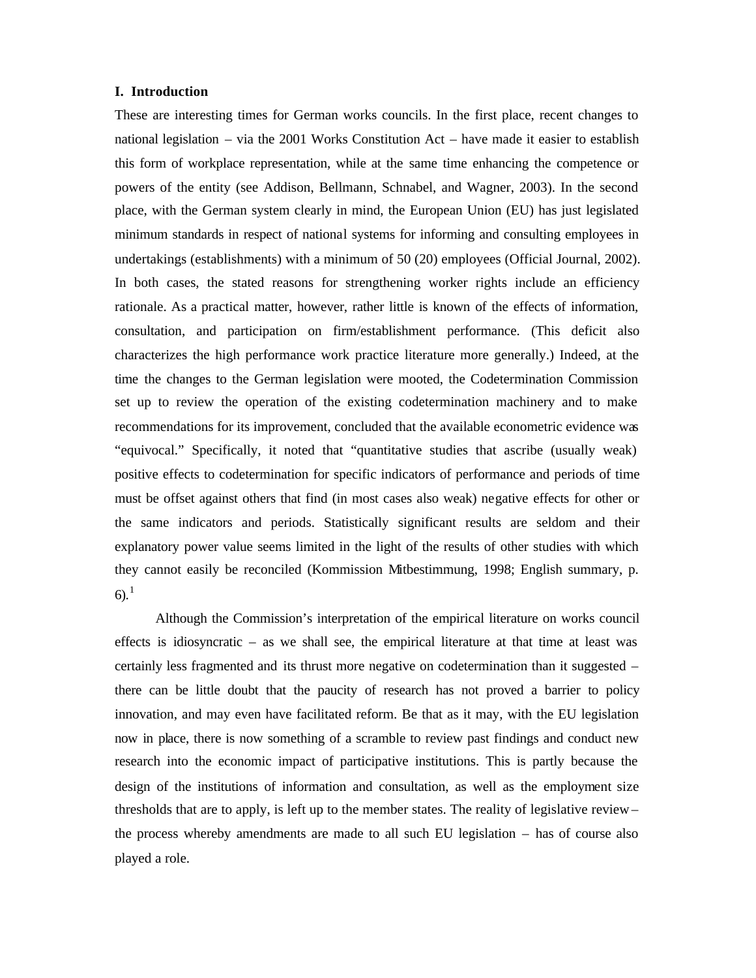#### **I. Introduction**

These are interesting times for German works councils. In the first place, recent changes to national legislation – via the 2001 Works Constitution Act – have made it easier to establish this form of workplace representation, while at the same time enhancing the competence or powers of the entity (see Addison, Bellmann, Schnabel, and Wagner, 2003). In the second place, with the German system clearly in mind, the European Union (EU) has just legislated minimum standards in respect of national systems for informing and consulting employees in undertakings (establishments) with a minimum of 50 (20) employees (Official Journal, 2002). In both cases, the stated reasons for strengthening worker rights include an efficiency rationale. As a practical matter, however, rather little is known of the effects of information, consultation, and participation on firm/establishment performance. (This deficit also characterizes the high performance work practice literature more generally.) Indeed, at the time the changes to the German legislation were mooted, the Codetermination Commission set up to review the operation of the existing codetermination machinery and to make recommendations for its improvement, concluded that the available econometric evidence was "equivocal." Specifically, it noted that "quantitative studies that ascribe (usually weak) positive effects to codetermination for specific indicators of performance and periods of time must be offset against others that find (in most cases also weak) negative effects for other or the same indicators and periods. Statistically significant results are seldom and their explanatory power value seems limited in the light of the results of other studies with which they cannot easily be reconciled (Kommission Mitbestimmung, 1998; English summary, p. 6).<sup>1</sup>

Although the Commission's interpretation of the empirical literature on works council effects is idiosyncratic – as we shall see, the empirical literature at that time at least was certainly less fragmented and its thrust more negative on codetermination than it suggested – there can be little doubt that the paucity of research has not proved a barrier to policy innovation, and may even have facilitated reform. Be that as it may, with the EU legislation now in place, there is now something of a scramble to review past findings and conduct new research into the economic impact of participative institutions. This is partly because the design of the institutions of information and consultation, as well as the employment size thresholds that are to apply, is left up to the member states. The reality of legislative review – the process whereby amendments are made to all such EU legislation – has of course also played a role.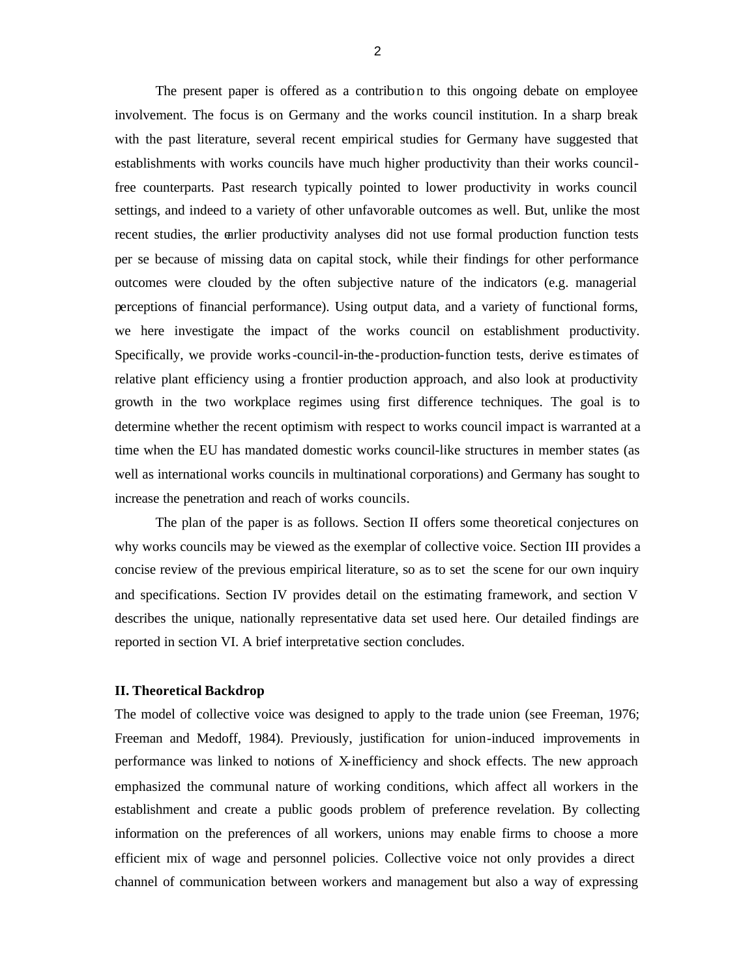The present paper is offered as a contribution to this ongoing debate on employee involvement. The focus is on Germany and the works council institution. In a sharp break with the past literature, several recent empirical studies for Germany have suggested that establishments with works councils have much higher productivity than their works councilfree counterparts. Past research typically pointed to lower productivity in works council settings, and indeed to a variety of other unfavorable outcomes as well. But, unlike the most recent studies, the earlier productivity analyses did not use formal production function tests per se because of missing data on capital stock, while their findings for other performance outcomes were clouded by the often subjective nature of the indicators (e.g. managerial perceptions of financial performance). Using output data, and a variety of functional forms, we here investigate the impact of the works council on establishment productivity. Specifically, we provide works-council-in-the-production-function tests, derive estimates of relative plant efficiency using a frontier production approach, and also look at productivity growth in the two workplace regimes using first difference techniques. The goal is to determine whether the recent optimism with respect to works council impact is warranted at a time when the EU has mandated domestic works council-like structures in member states (as well as international works councils in multinational corporations) and Germany has sought to increase the penetration and reach of works councils.

The plan of the paper is as follows. Section II offers some theoretical conjectures on why works councils may be viewed as the exemplar of collective voice. Section III provides a concise review of the previous empirical literature, so as to set the scene for our own inquiry and specifications. Section IV provides detail on the estimating framework, and section V describes the unique, nationally representative data set used here. Our detailed findings are reported in section VI. A brief interpretative section concludes.

#### **II. Theoretical Backdrop**

The model of collective voice was designed to apply to the trade union (see Freeman, 1976; Freeman and Medoff, 1984). Previously, justification for union-induced improvements in performance was linked to notions of X-inefficiency and shock effects. The new approach emphasized the communal nature of working conditions, which affect all workers in the establishment and create a public goods problem of preference revelation. By collecting information on the preferences of all workers, unions may enable firms to choose a more efficient mix of wage and personnel policies. Collective voice not only provides a direct channel of communication between workers and management but also a way of expressing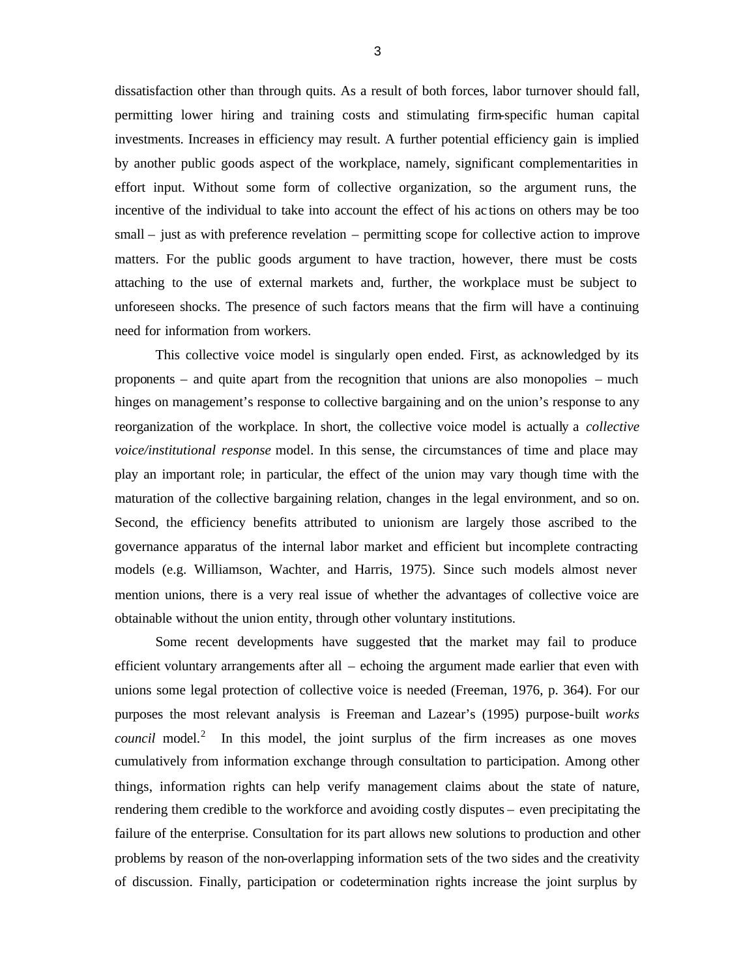dissatisfaction other than through quits. As a result of both forces, labor turnover should fall, permitting lower hiring and training costs and stimulating firm-specific human capital investments. Increases in efficiency may result. A further potential efficiency gain is implied by another public goods aspect of the workplace, namely, significant complementarities in effort input. Without some form of collective organization, so the argument runs, the incentive of the individual to take into account the effect of his ac tions on others may be too small – just as with preference revelation – permitting scope for collective action to improve matters. For the public goods argument to have traction, however, there must be costs attaching to the use of external markets and, further, the workplace must be subject to unforeseen shocks. The presence of such factors means that the firm will have a continuing need for information from workers.

This collective voice model is singularly open ended. First, as acknowledged by its proponents – and quite apart from the recognition that unions are also monopolies – much hinges on management's response to collective bargaining and on the union's response to any reorganization of the workplace. In short, the collective voice model is actually a *collective voice/institutional response* model. In this sense, the circumstances of time and place may play an important role; in particular, the effect of the union may vary though time with the maturation of the collective bargaining relation, changes in the legal environment, and so on. Second, the efficiency benefits attributed to unionism are largely those ascribed to the governance apparatus of the internal labor market and efficient but incomplete contracting models (e.g. Williamson, Wachter, and Harris, 1975). Since such models almost never mention unions, there is a very real issue of whether the advantages of collective voice are obtainable without the union entity, through other voluntary institutions.

Some recent developments have suggested that the market may fail to produce efficient voluntary arrangements after all – echoing the argument made earlier that even with unions some legal protection of collective voice is needed (Freeman, 1976, p. 364). For our purposes the most relevant analysis is Freeman and Lazear's (1995) purpose-built *works council* model.<sup>2</sup> In this model, the joint surplus of the firm increases as one moves cumulatively from information exchange through consultation to participation. Among other things, information rights can help verify management claims about the state of nature, rendering them credible to the workforce and avoiding costly disputes – even precipitating the failure of the enterprise. Consultation for its part allows new solutions to production and other problems by reason of the non-overlapping information sets of the two sides and the creativity of discussion. Finally, participation or codetermination rights increase the joint surplus by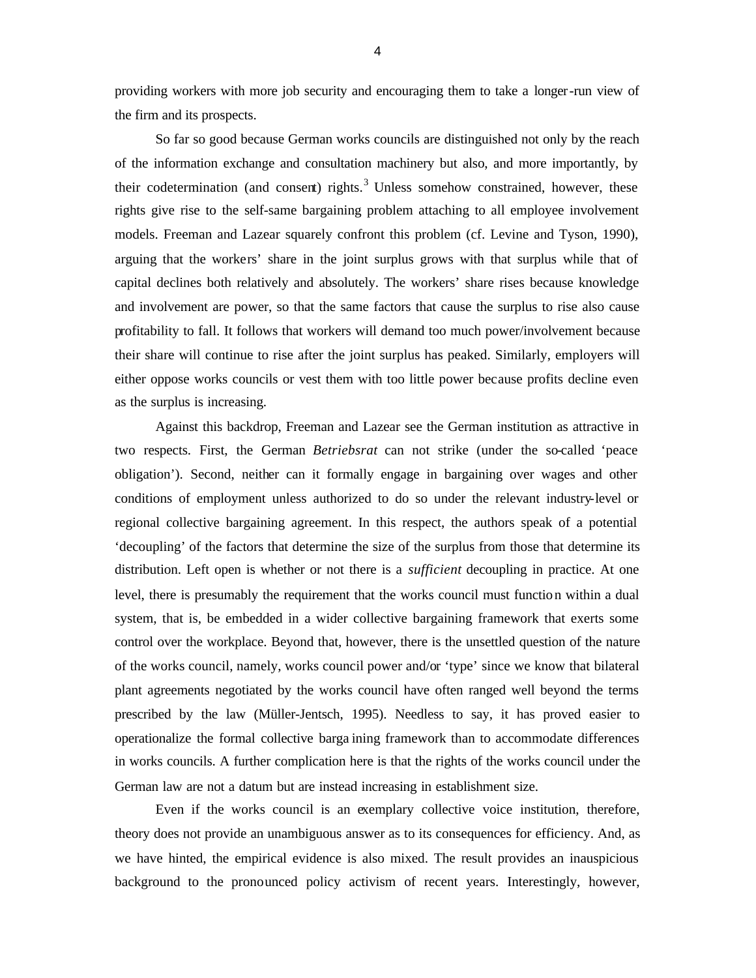providing workers with more job security and encouraging them to take a longer-run view of the firm and its prospects.

So far so good because German works councils are distinguished not only by the reach of the information exchange and consultation machinery but also, and more importantly, by their codetermination (and consent) rights. $3$  Unless somehow constrained, however, these rights give rise to the self-same bargaining problem attaching to all employee involvement models. Freeman and Lazear squarely confront this problem (cf. Levine and Tyson, 1990), arguing that the workers' share in the joint surplus grows with that surplus while that of capital declines both relatively and absolutely. The workers' share rises because knowledge and involvement are power, so that the same factors that cause the surplus to rise also cause profitability to fall. It follows that workers will demand too much power/involvement because their share will continue to rise after the joint surplus has peaked. Similarly, employers will either oppose works councils or vest them with too little power because profits decline even as the surplus is increasing.

Against this backdrop, Freeman and Lazear see the German institution as attractive in two respects. First, the German *Betriebsrat* can not strike (under the so-called 'peace obligation'). Second, neither can it formally engage in bargaining over wages and other conditions of employment unless authorized to do so under the relevant industry-level or regional collective bargaining agreement. In this respect, the authors speak of a potential 'decoupling' of the factors that determine the size of the surplus from those that determine its distribution. Left open is whether or not there is a *sufficient* decoupling in practice. At one level, there is presumably the requirement that the works council must function within a dual system, that is, be embedded in a wider collective bargaining framework that exerts some control over the workplace. Beyond that, however, there is the unsettled question of the nature of the works council, namely, works council power and/or 'type' since we know that bilateral plant agreements negotiated by the works council have often ranged well beyond the terms prescribed by the law (Müller-Jentsch, 1995). Needless to say, it has proved easier to operationalize the formal collective barga ining framework than to accommodate differences in works councils. A further complication here is that the rights of the works council under the German law are not a datum but are instead increasing in establishment size.

Even if the works council is an exemplary collective voice institution, therefore, theory does not provide an unambiguous answer as to its consequences for efficiency. And, as we have hinted, the empirical evidence is also mixed. The result provides an inauspicious background to the pronounced policy activism of recent years. Interestingly, however,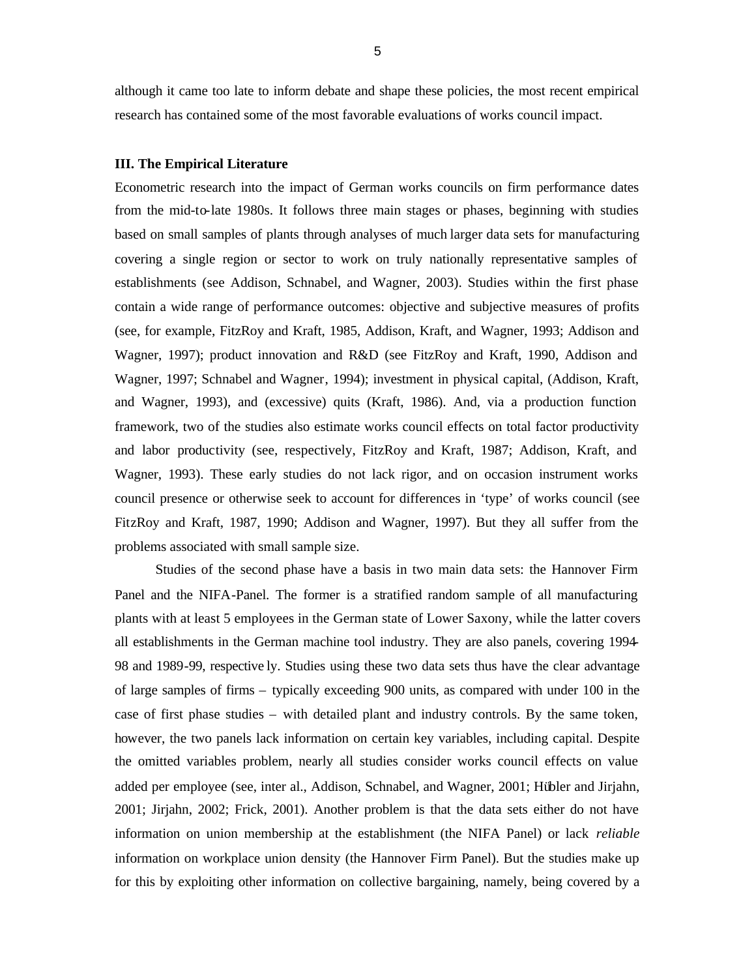although it came too late to inform debate and shape these policies, the most recent empirical research has contained some of the most favorable evaluations of works council impact.

#### **III. The Empirical Literature**

Econometric research into the impact of German works councils on firm performance dates from the mid-to-late 1980s. It follows three main stages or phases, beginning with studies based on small samples of plants through analyses of much larger data sets for manufacturing covering a single region or sector to work on truly nationally representative samples of establishments (see Addison, Schnabel, and Wagner, 2003). Studies within the first phase contain a wide range of performance outcomes: objective and subjective measures of profits (see, for example, FitzRoy and Kraft, 1985, Addison, Kraft, and Wagner, 1993; Addison and Wagner, 1997); product innovation and R&D (see FitzRoy and Kraft, 1990, Addison and Wagner, 1997; Schnabel and Wagner, 1994); investment in physical capital, (Addison, Kraft, and Wagner, 1993), and (excessive) quits (Kraft, 1986). And, via a production function framework, two of the studies also estimate works council effects on total factor productivity and labor productivity (see, respectively, FitzRoy and Kraft, 1987; Addison, Kraft, and Wagner, 1993). These early studies do not lack rigor, and on occasion instrument works council presence or otherwise seek to account for differences in 'type' of works council (see FitzRoy and Kraft, 1987, 1990; Addison and Wagner, 1997). But they all suffer from the problems associated with small sample size.

Studies of the second phase have a basis in two main data sets: the Hannover Firm Panel and the NIFA-Panel. The former is a stratified random sample of all manufacturing plants with at least 5 employees in the German state of Lower Saxony, while the latter covers all establishments in the German machine tool industry. They are also panels, covering 1994- 98 and 1989-99, respective ly. Studies using these two data sets thus have the clear advantage of large samples of firms – typically exceeding 900 units, as compared with under 100 in the case of first phase studies – with detailed plant and industry controls. By the same token, however, the two panels lack information on certain key variables, including capital. Despite the omitted variables problem, nearly all studies consider works council effects on value added per employee (see, inter al., Addison, Schnabel, and Wagner, 2001; Hübler and Jirjahn, 2001; Jirjahn, 2002; Frick, 2001). Another problem is that the data sets either do not have information on union membership at the establishment (the NIFA Panel) or lack *reliable*  information on workplace union density (the Hannover Firm Panel). But the studies make up for this by exploiting other information on collective bargaining, namely, being covered by a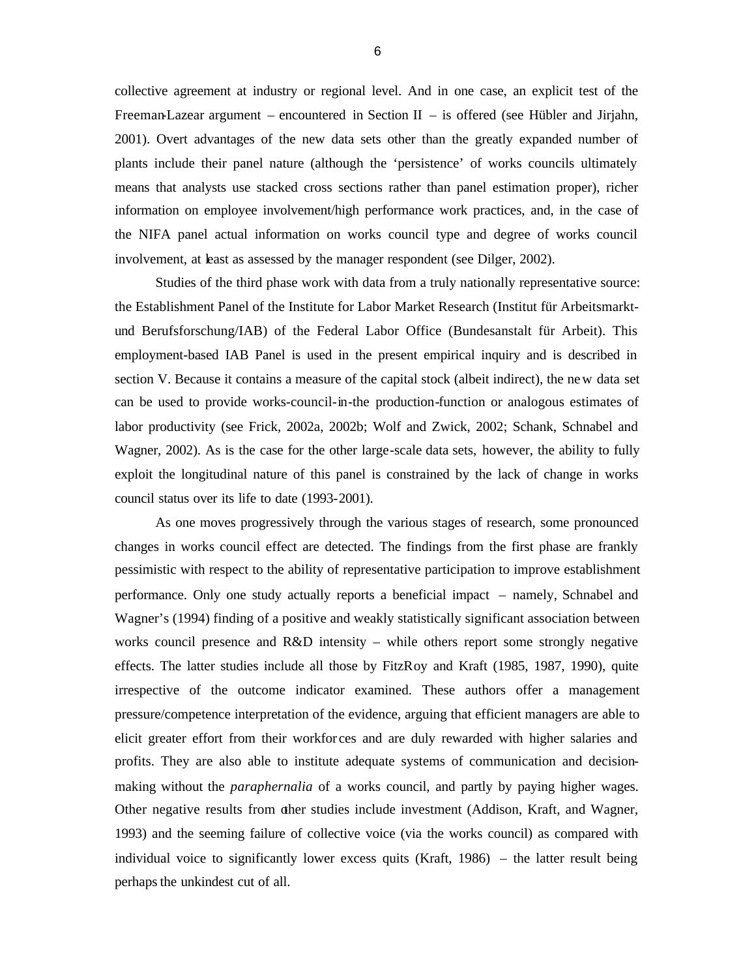collective agreement at industry or regional level. And in one case, an explicit test of the Freeman-Lazear argument – encountered in Section II – is offered (see Hübler and Jirjahn, 2001). Overt advantages of the new data sets other than the greatly expanded number of plants include their panel nature (although the 'persistence' of works councils ultimately means that analysts use stacked cross sections rather than panel estimation proper), richer information on employee involvement/high performance work practices, and, in the case of the NIFA panel actual information on works council type and degree of works council involvement, at least as assessed by the manager respondent (see Dilger, 2002).

Studies of the third phase work with data from a truly nationally representative source: the Establishment Panel of the Institute for Labor Market Research (Institut für Arbeitsmarktund Berufsforschung/IAB) of the Federal Labor Office (Bundesanstalt für Arbeit). This employment-based IAB Panel is used in the present empirical inquiry and is described in section V. Because it contains a measure of the capital stock (albeit indirect), the new data set can be used to provide works-council-in-the production-function or analogous estimates of labor productivity (see Frick, 2002a, 2002b; Wolf and Zwick, 2002; Schank, Schnabel and Wagner, 2002). As is the case for the other large-scale data sets, however, the ability to fully exploit the longitudinal nature of this panel is constrained by the lack of change in works council status over its life to date (1993-2001).

As one moves progressively through the various stages of research, some pronounced changes in works council effect are detected. The findings from the first phase are frankly pessimistic with respect to the ability of representative participation to improve establishment performance. Only one study actually reports a beneficial impact – namely, Schnabel and Wagner's (1994) finding of a positive and weakly statistically significant association between works council presence and R&D intensity – while others report some strongly negative effects. The latter studies include all those by FitzRoy and Kraft (1985, 1987, 1990), quite irrespective of the outcome indicator examined. These authors offer a management pressure/competence interpretation of the evidence, arguing that efficient managers are able to elicit greater effort from their workfor ces and are duly rewarded with higher salaries and profits. They are also able to institute adequate systems of communication and decisionmaking without the *paraphernalia* of a works council, and partly by paying higher wages. Other negative results from other studies include investment (Addison, Kraft, and Wagner, 1993) and the seeming failure of collective voice (via the works council) as compared with individual voice to significantly lower excess quits (Kraft, 1986) – the latter result being perhaps the unkindest cut of all.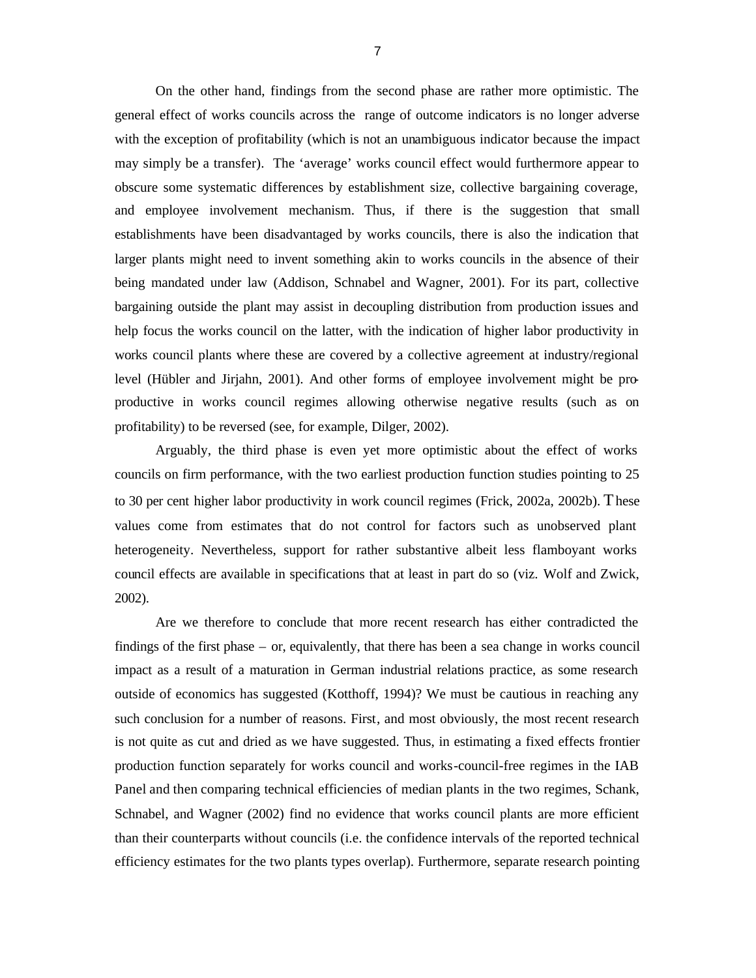On the other hand, findings from the second phase are rather more optimistic. The general effect of works councils across the range of outcome indicators is no longer adverse with the exception of profitability (which is not an unambiguous indicator because the impact may simply be a transfer). The 'average' works council effect would furthermore appear to obscure some systematic differences by establishment size, collective bargaining coverage, and employee involvement mechanism. Thus, if there is the suggestion that small establishments have been disadvantaged by works councils, there is also the indication that larger plants might need to invent something akin to works councils in the absence of their being mandated under law (Addison, Schnabel and Wagner, 2001). For its part, collective bargaining outside the plant may assist in decoupling distribution from production issues and help focus the works council on the latter, with the indication of higher labor productivity in works council plants where these are covered by a collective agreement at industry/regional level (Hübler and Jirjahn, 2001). And other forms of employee involvement might be proproductive in works council regimes allowing otherwise negative results (such as on profitability) to be reversed (see, for example, Dilger, 2002).

Arguably, the third phase is even yet more optimistic about the effect of works councils on firm performance, with the two earliest production function studies pointing to 25 to 30 per cent higher labor productivity in work council regimes (Frick, 2002a, 2002b). These values come from estimates that do not control for factors such as unobserved plant heterogeneity. Nevertheless, support for rather substantive albeit less flamboyant works council effects are available in specifications that at least in part do so (viz. Wolf and Zwick, 2002).

Are we therefore to conclude that more recent research has either contradicted the findings of the first phase – or, equivalently, that there has been a sea change in works council impact as a result of a maturation in German industrial relations practice, as some research outside of economics has suggested (Kotthoff, 1994)? We must be cautious in reaching any such conclusion for a number of reasons. First, and most obviously, the most recent research is not quite as cut and dried as we have suggested. Thus, in estimating a fixed effects frontier production function separately for works council and works-council-free regimes in the IAB Panel and then comparing technical efficiencies of median plants in the two regimes, Schank, Schnabel, and Wagner (2002) find no evidence that works council plants are more efficient than their counterparts without councils (i.e. the confidence intervals of the reported technical efficiency estimates for the two plants types overlap). Furthermore, separate research pointing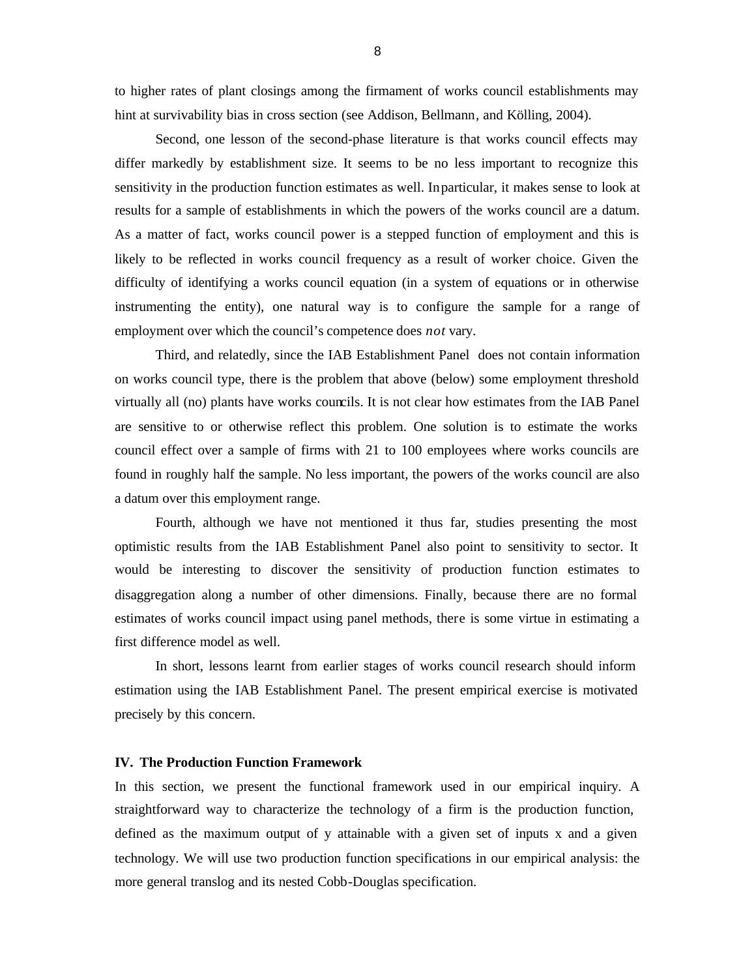to higher rates of plant closings among the firmament of works council establishments may hint at survivability bias in cross section (see Addison, Bellmann, and Kölling, 2004).

Second, one lesson of the second-phase literature is that works council effects may differ markedly by establishment size. It seems to be no less important to recognize this sensitivity in the production function estimates as well. In particular, it makes sense to look at results for a sample of establishments in which the powers of the works council are a datum. As a matter of fact, works council power is a stepped function of employment and this is likely to be reflected in works council frequency as a result of worker choice. Given the difficulty of identifying a works council equation (in a system of equations or in otherwise instrumenting the entity), one natural way is to configure the sample for a range of employment over which the council's competence does *not* vary.

Third, and relatedly, since the IAB Establishment Panel does not contain information on works council type, there is the problem that above (below) some employment threshold virtually all (no) plants have works councils. It is not clear how estimates from the IAB Panel are sensitive to or otherwise reflect this problem. One solution is to estimate the works council effect over a sample of firms with 21 to 100 employees where works councils are found in roughly half the sample. No less important, the powers of the works council are also a datum over this employment range.

Fourth, although we have not mentioned it thus far, studies presenting the most optimistic results from the IAB Establishment Panel also point to sensitivity to sector. It would be interesting to discover the sensitivity of production function estimates to disaggregation along a number of other dimensions. Finally, because there are no formal estimates of works council impact using panel methods, there is some virtue in estimating a first difference model as well.

In short, lessons learnt from earlier stages of works council research should inform estimation using the IAB Establishment Panel. The present empirical exercise is motivated precisely by this concern.

#### **IV. The Production Function Framework**

In this section, we present the functional framework used in our empirical inquiry. A straightforward way to characterize the technology of a firm is the production function, defined as the maximum output of y attainable with a given set of inputs x and a given technology. We will use two production function specifications in our empirical analysis: the more general translog and its nested Cobb-Douglas specification.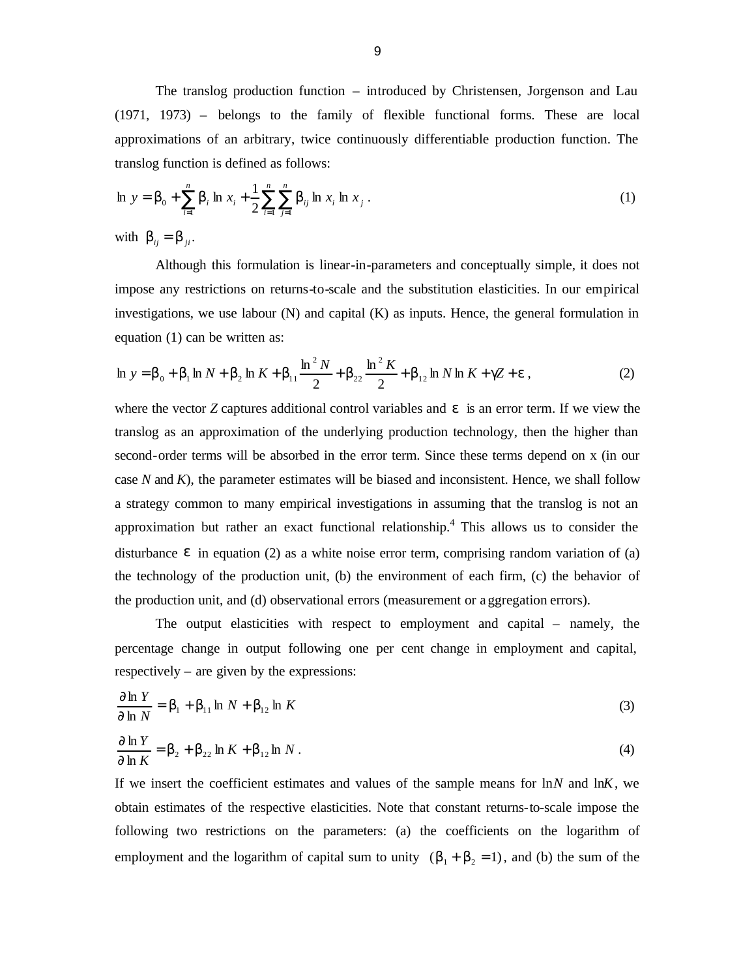The translog production function – introduced by Christensen, Jorgenson and Lau (1971, 1973) – belongs to the family of flexible functional forms. These are local approximations of an arbitrary, twice continuously differentiable production function. The translog function is defined as follows:

$$
\ln y = \boldsymbol{b}_0 + \sum_{i=1}^n \boldsymbol{b}_i \ln x_i + \frac{1}{2} \sum_{i=1}^n \sum_{j=1}^n \boldsymbol{b}_{ij} \ln x_i \ln x_j . \tag{1}
$$

with  $\boldsymbol{b}_{ii} = \boldsymbol{b}_{ii}$ .

Although this formulation is linear-in-parameters and conceptually simple, it does not impose any restrictions on returns-to-scale and the substitution elasticities. In our empirical investigations, we use labour  $(N)$  and capital  $(K)$  as inputs. Hence, the general formulation in equation (1) can be written as:

$$
\ln y = \mathbf{b}_0 + \mathbf{b}_1 \ln N + \mathbf{b}_2 \ln K + \mathbf{b}_{11} \frac{\ln^2 N}{2} + \mathbf{b}_{22} \frac{\ln^2 K}{2} + \mathbf{b}_{12} \ln N \ln K + gZ + \mathbf{e} \,, \tag{2}
$$

where the vector *Z* captures additional control variables and *e* is an error term. If we view the translog as an approximation of the underlying production technology, then the higher than second-order terms will be absorbed in the error term. Since these terms depend on x (in our case *N* and *K*), the parameter estimates will be biased and inconsistent. Hence, we shall follow a strategy common to many empirical investigations in assuming that the translog is not an approximation but rather an exact functional relationship.<sup>4</sup> This allows us to consider the disturbance **e** in equation (2) as a white noise error term, comprising random variation of (a) the technology of the production unit, (b) the environment of each firm, (c) the behavior of the production unit, and (d) observational errors (measurement or a ggregation errors).

The output elasticities with respect to employment and capital – namely, the percentage change in output following one per cent change in employment and capital, respectively – are given by the expressions:

$$
\frac{\partial \ln Y}{\partial \ln N} = \boldsymbol{b}_1 + \boldsymbol{b}_{11} \ln N + \boldsymbol{b}_{12} \ln K
$$
\n(3)

$$
\frac{\partial \ln Y}{\partial \ln K} = \mathbf{b}_2 + \mathbf{b}_{22} \ln K + \mathbf{b}_{12} \ln N \,. \tag{4}
$$

If we insert the coefficient estimates and values of the sample means for ln*N* and ln*K*, we obtain estimates of the respective elasticities. Note that constant returns-to-scale impose the following two restrictions on the parameters: (a) the coefficients on the logarithm of employment and the logarithm of capital sum to unity  $(b_1 + b_2 = 1)$ , and (b) the sum of the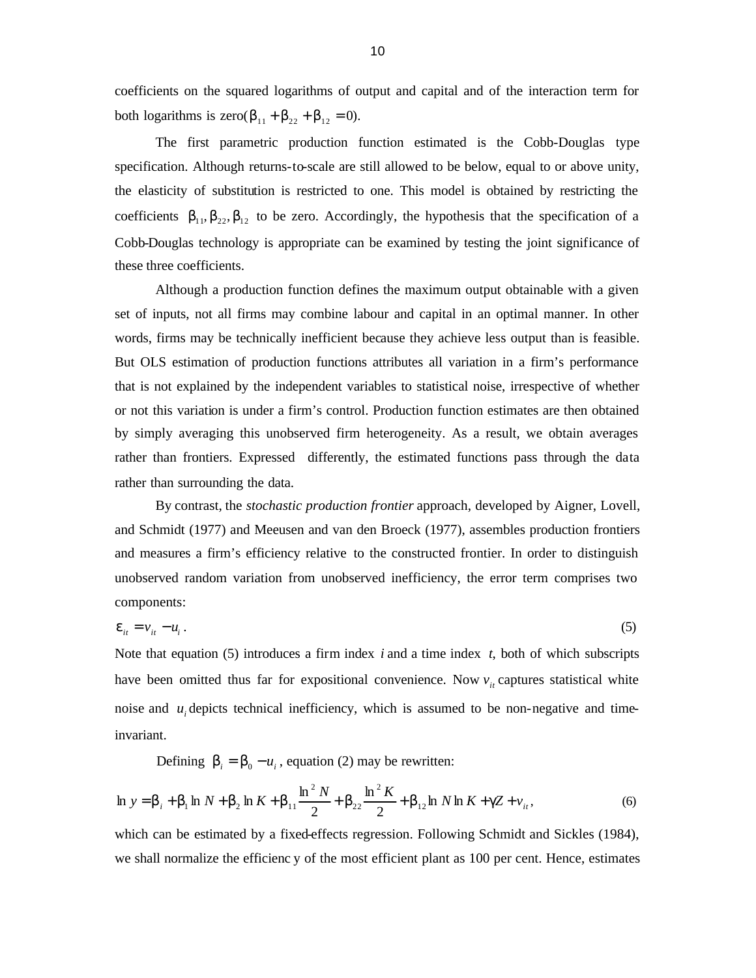coefficients on the squared logarithms of output and capital and of the interaction term for both logarithms is zero( $\mathbf{b}_{11} + \mathbf{b}_{22} + \mathbf{b}_{12} = 0$ ).

The first parametric production function estimated is the Cobb-Douglas type specification. Although returns-to-scale are still allowed to be below, equal to or above unity, the elasticity of substitution is restricted to one. This model is obtained by restricting the coefficients  $\mathbf{b}_{11}$ ,  $\mathbf{b}_{22}$ ,  $\mathbf{b}_{12}$  to be zero. Accordingly, the hypothesis that the specification of a Cobb-Douglas technology is appropriate can be examined by testing the joint significance of these three coefficients.

Although a production function defines the maximum output obtainable with a given set of inputs, not all firms may combine labour and capital in an optimal manner. In other words, firms may be technically inefficient because they achieve less output than is feasible. But OLS estimation of production functions attributes all variation in a firm's performance that is not explained by the independent variables to statistical noise, irrespective of whether or not this variation is under a firm's control. Production function estimates are then obtained by simply averaging this unobserved firm heterogeneity. As a result, we obtain averages rather than frontiers. Expressed differently, the estimated functions pass through the data rather than surrounding the data.

By contrast, the *stochastic production frontier* approach, developed by Aigner, Lovell, and Schmidt (1977) and Meeusen and van den Broeck (1977), assembles production frontiers and measures a firm's efficiency relative to the constructed frontier. In order to distinguish unobserved random variation from unobserved inefficiency, the error term comprises two components:

$$
\mathbf{e}_{it} = v_{it} - u_i \,. \tag{5}
$$

Note that equation (5) introduces a firm index *i* and a time index *t*, both of which subscripts have been omitted thus far for expositional convenience. Now  $v_{it}$  captures statistical white noise and  $u_i$  depicts technical inefficiency, which is assumed to be non-negative and timeinvariant.

Defining  $\mathbf{b}_i = \mathbf{b}_0 - u_i$ , equation (2) may be rewritten:

$$
\ln y = b_{i} + b_{1} \ln N + b_{2} \ln K + b_{11} \frac{\ln^{2} N}{2} + b_{22} \frac{\ln^{2} K}{2} + b_{12} \ln N \ln K + gZ + v_{it},
$$
\n(6)

which can be estimated by a fixed-effects regression. Following Schmidt and Sickles (1984), we shall normalize the efficienc y of the most efficient plant as 100 per cent. Hence, estimates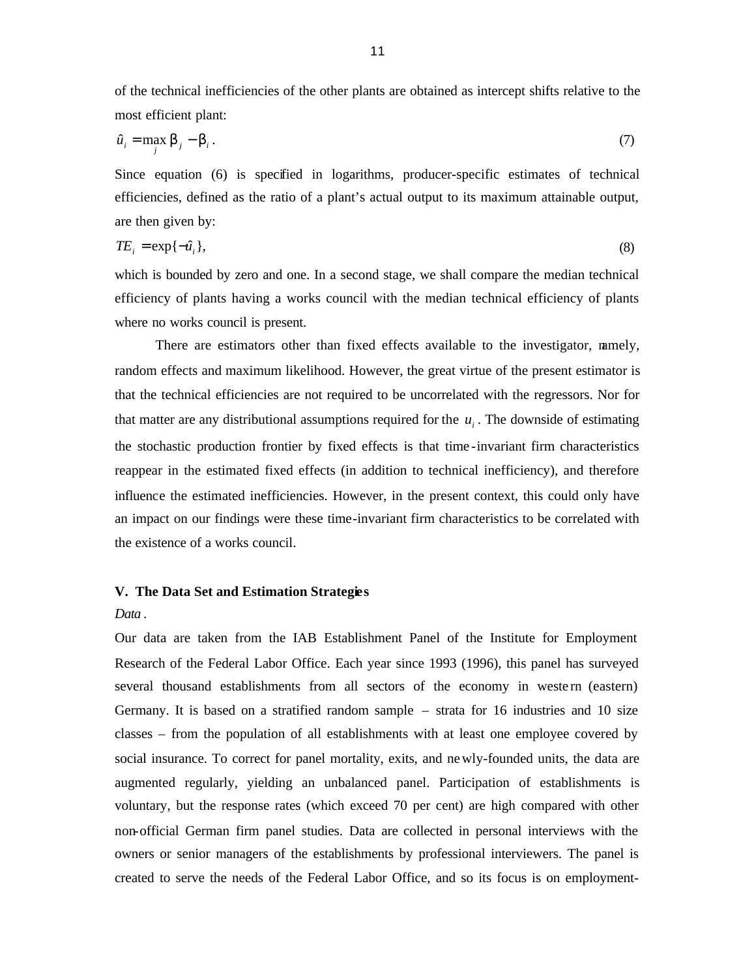of the technical inefficiencies of the other plants are obtained as intercept shifts relative to the most efficient plant:

$$
\hat{u}_i = \max_j \mathbf{b}_j - \mathbf{b}_i. \tag{7}
$$

Since equation (6) is specified in logarithms, producer-specific estimates of technical efficiencies, defined as the ratio of a plant's actual output to its maximum attainable output, are then given by:

$$
TE_i = \exp\{-\hat{u}_i\},\tag{8}
$$

which is bounded by zero and one. In a second stage, we shall compare the median technical efficiency of plants having a works council with the median technical efficiency of plants where no works council is present.

There are estimators other than fixed effects available to the investigator, namely, random effects and maximum likelihood. However, the great virtue of the present estimator is that the technical efficiencies are not required to be uncorrelated with the regressors. Nor for that matter are any distributional assumptions required for the  $u_i$ . The downside of estimating the stochastic production frontier by fixed effects is that time -invariant firm characteristics reappear in the estimated fixed effects (in addition to technical inefficiency), and therefore influence the estimated inefficiencies. However, in the present context, this could only have an impact on our findings were these time-invariant firm characteristics to be correlated with the existence of a works council.

#### **V. The Data Set and Estimation Strategies**

#### *Data* .

Our data are taken from the IAB Establishment Panel of the Institute for Employment Research of the Federal Labor Office. Each year since 1993 (1996), this panel has surveyed several thousand establishments from all sectors of the economy in western (eastern) Germany. It is based on a stratified random sample – strata for 16 industries and 10 size classes – from the population of all establishments with at least one employee covered by social insurance. To correct for panel mortality, exits, and newly-founded units, the data are augmented regularly, yielding an unbalanced panel. Participation of establishments is voluntary, but the response rates (which exceed 70 per cent) are high compared with other non-official German firm panel studies. Data are collected in personal interviews with the owners or senior managers of the establishments by professional interviewers. The panel is created to serve the needs of the Federal Labor Office, and so its focus is on employment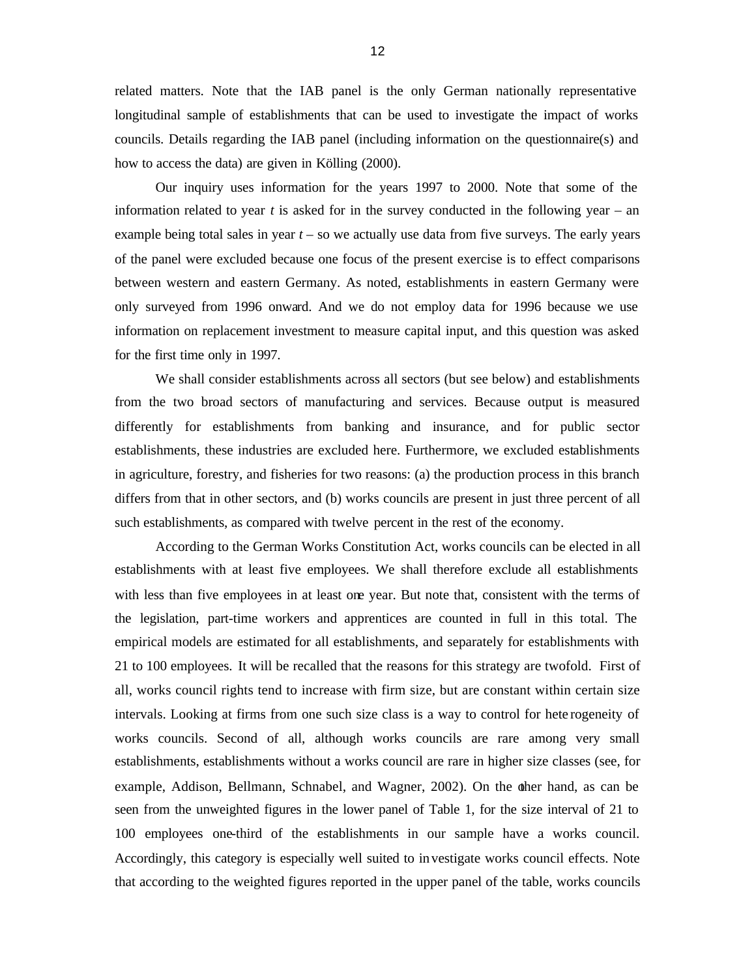related matters. Note that the IAB panel is the only German nationally representative longitudinal sample of establishments that can be used to investigate the impact of works councils. Details regarding the IAB panel (including information on the questionnaire(s) and how to access the data) are given in Kölling (2000).

Our inquiry uses information for the years 1997 to 2000. Note that some of the information related to year  $t$  is asked for in the survey conducted in the following year – an example being total sales in year *t –* so we actually use data from five surveys. The early years of the panel were excluded because one focus of the present exercise is to effect comparisons between western and eastern Germany. As noted, establishments in eastern Germany were only surveyed from 1996 onward. And we do not employ data for 1996 because we use information on replacement investment to measure capital input, and this question was asked for the first time only in 1997.

We shall consider establishments across all sectors (but see below) and establishments from the two broad sectors of manufacturing and services. Because output is measured differently for establishments from banking and insurance, and for public sector establishments, these industries are excluded here. Furthermore, we excluded establishments in agriculture, forestry, and fisheries for two reasons: (a) the production process in this branch differs from that in other sectors, and (b) works councils are present in just three percent of all such establishments, as compared with twelve percent in the rest of the economy.

According to the German Works Constitution Act, works councils can be elected in all establishments with at least five employees. We shall therefore exclude all establishments with less than five employees in at least one year. But note that, consistent with the terms of the legislation, part-time workers and apprentices are counted in full in this total. The empirical models are estimated for all establishments, and separately for establishments with 21 to 100 employees. It will be recalled that the reasons for this strategy are twofold. First of all, works council rights tend to increase with firm size, but are constant within certain size intervals. Looking at firms from one such size class is a way to control for hete rogeneity of works councils. Second of all, although works councils are rare among very small establishments, establishments without a works council are rare in higher size classes (see, for example, Addison, Bellmann, Schnabel, and Wagner, 2002). On the other hand, as can be seen from the unweighted figures in the lower panel of Table 1, for the size interval of 21 to 100 employees one-third of the establishments in our sample have a works council. Accordingly, this category is especially well suited to in vestigate works council effects. Note that according to the weighted figures reported in the upper panel of the table, works councils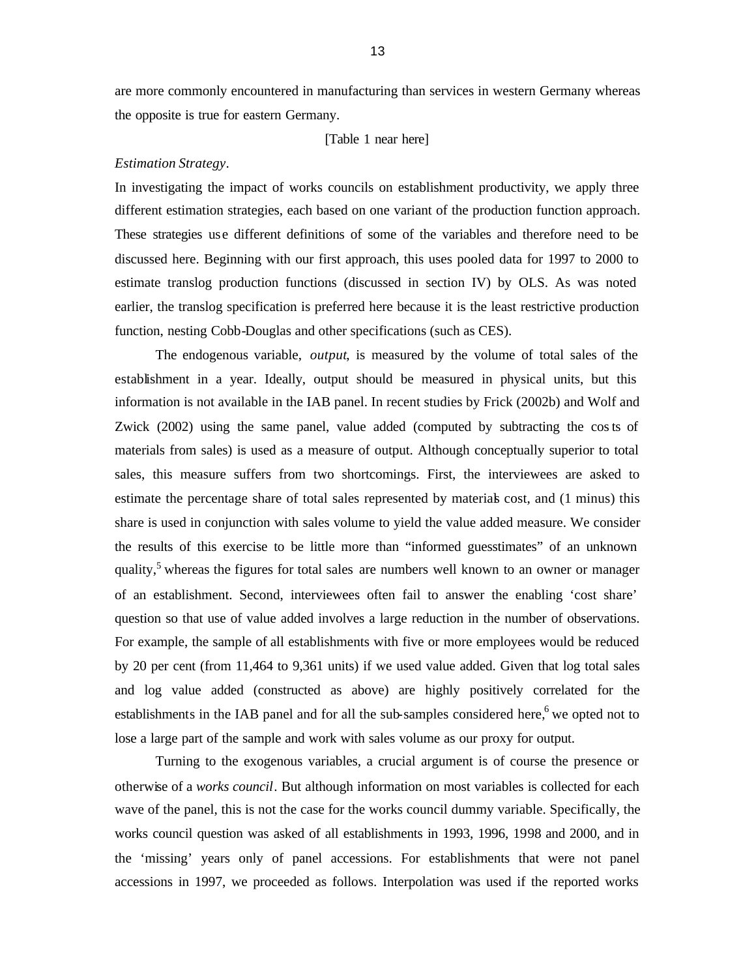are more commonly encountered in manufacturing than services in western Germany whereas the opposite is true for eastern Germany.

[Table 1 near here]

#### *Estimation Strategy*.

In investigating the impact of works councils on establishment productivity, we apply three different estimation strategies, each based on one variant of the production function approach. These strategies use different definitions of some of the variables and therefore need to be discussed here. Beginning with our first approach, this uses pooled data for 1997 to 2000 to estimate translog production functions (discussed in section IV) by OLS. As was noted earlier, the translog specification is preferred here because it is the least restrictive production function, nesting Cobb-Douglas and other specifications (such as CES).

The endogenous variable, *output*, is measured by the volume of total sales of the establishment in a year. Ideally, output should be measured in physical units, but this information is not available in the IAB panel. In recent studies by Frick (2002b) and Wolf and Zwick (2002) using the same panel, value added (computed by subtracting the costs of materials from sales) is used as a measure of output. Although conceptually superior to total sales, this measure suffers from two shortcomings. First, the interviewees are asked to estimate the percentage share of total sales represented by materials cost, and (1 minus) this share is used in conjunction with sales volume to yield the value added measure. We consider the results of this exercise to be little more than "informed guesstimates" of an unknown quality,<sup>5</sup> whereas the figures for total sales are numbers well known to an owner or manager of an establishment. Second, interviewees often fail to answer the enabling 'cost share' question so that use of value added involves a large reduction in the number of observations. For example, the sample of all establishments with five or more employees would be reduced by 20 per cent (from 11,464 to 9,361 units) if we used value added. Given that log total sales and log value added (constructed as above) are highly positively correlated for the establishments in the IAB panel and for all the sub-samples considered here, we opted not to lose a large part of the sample and work with sales volume as our proxy for output.

Turning to the exogenous variables, a crucial argument is of course the presence or otherwise of a *works council*. But although information on most variables is collected for each wave of the panel, this is not the case for the works council dummy variable. Specifically, the works council question was asked of all establishments in 1993, 1996, 1998 and 2000, and in the 'missing' years only of panel accessions. For establishments that were not panel accessions in 1997, we proceeded as follows. Interpolation was used if the reported works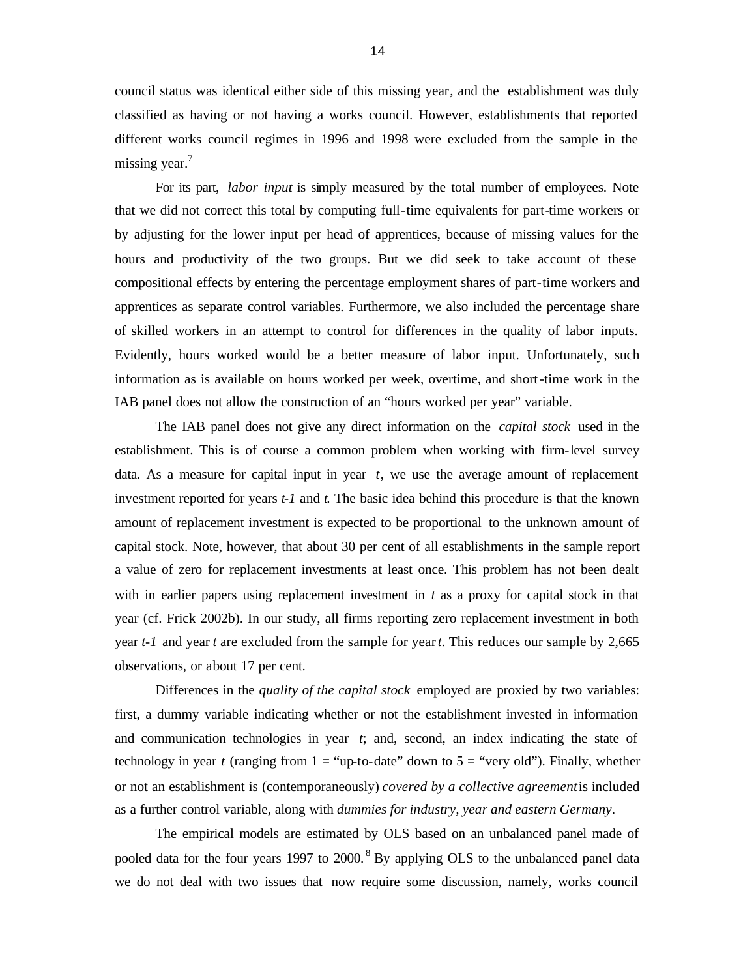council status was identical either side of this missing year, and the establishment was duly classified as having or not having a works council. However, establishments that reported different works council regimes in 1996 and 1998 were excluded from the sample in the missing year. $<sup>7</sup>$ </sup>

For its part, *labor input* is simply measured by the total number of employees. Note that we did not correct this total by computing full-time equivalents for part-time workers or by adjusting for the lower input per head of apprentices, because of missing values for the hours and productivity of the two groups. But we did seek to take account of these compositional effects by entering the percentage employment shares of part-time workers and apprentices as separate control variables. Furthermore, we also included the percentage share of skilled workers in an attempt to control for differences in the quality of labor inputs. Evidently, hours worked would be a better measure of labor input. Unfortunately, such information as is available on hours worked per week, overtime, and short-time work in the IAB panel does not allow the construction of an "hours worked per year" variable.

The IAB panel does not give any direct information on the *capital stock* used in the establishment. This is of course a common problem when working with firm-level survey data. As a measure for capital input in year *t*, we use the average amount of replacement investment reported for years *t-1* and *t*. The basic idea behind this procedure is that the known amount of replacement investment is expected to be proportional to the unknown amount of capital stock. Note, however, that about 30 per cent of all establishments in the sample report a value of zero for replacement investments at least once. This problem has not been dealt with in earlier papers using replacement investment in *t* as a proxy for capital stock in that year (cf. Frick 2002b). In our study, all firms reporting zero replacement investment in both year *t-1* and year *t* are excluded from the sample for year *t*. This reduces our sample by 2,665 observations, or about 17 per cent.

Differences in the *quality of the capital stock* employed are proxied by two variables: first, a dummy variable indicating whether or not the establishment invested in information and communication technologies in year *t*; and, second, an index indicating the state of technology in year *t* (ranging from  $1 =$  "up-to-date" down to  $5 =$  "very old"). Finally, whether or not an establishment is (contemporaneously) *covered by a collective agreement* is included as a further control variable, along with *dummies for industry, year and eastern Germany*.

The empirical models are estimated by OLS based on an unbalanced panel made of pooled data for the four years 1997 to 2000.<sup>8</sup> By applying OLS to the unbalanced panel data we do not deal with two issues that now require some discussion, namely, works council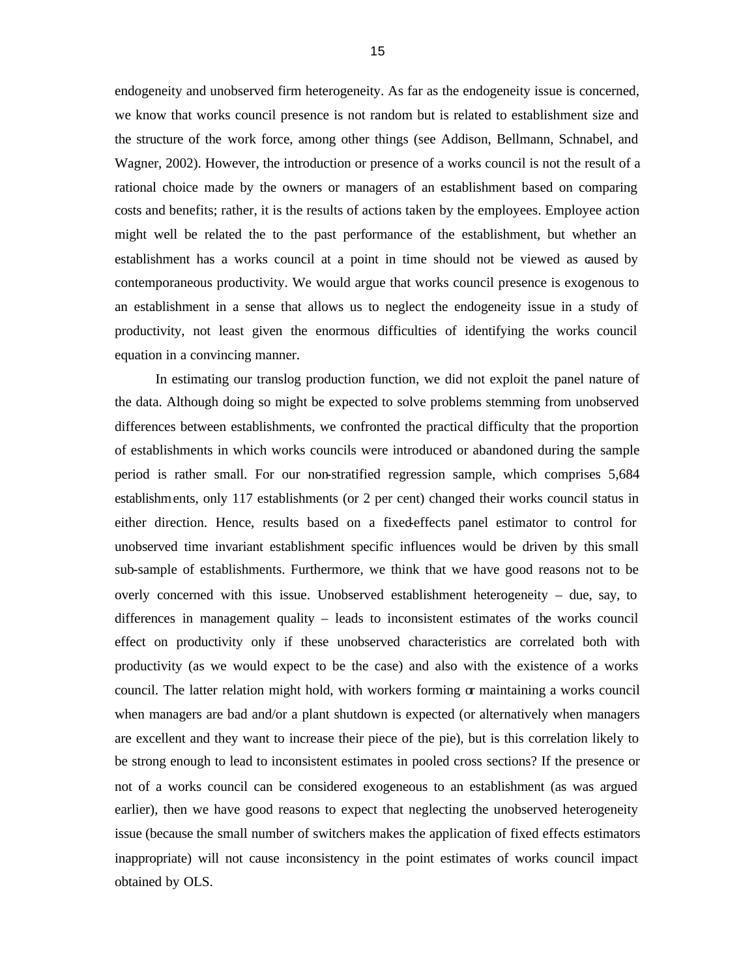endogeneity and unobserved firm heterogeneity. As far as the endogeneity issue is concerned, we know that works council presence is not random but is related to establishment size and the structure of the work force, among other things (see Addison, Bellmann, Schnabel, and Wagner, 2002). However, the introduction or presence of a works council is not the result of a rational choice made by the owners or managers of an establishment based on comparing costs and benefits; rather, it is the results of actions taken by the employees. Employee action might well be related the to the past performance of the establishment, but whether an establishment has a works council at a point in time should not be viewed as caused by contemporaneous productivity. We would argue that works council presence is exogenous to an establishment in a sense that allows us to neglect the endogeneity issue in a study of productivity, not least given the enormous difficulties of identifying the works council equation in a convincing manner.

In estimating our translog production function, we did not exploit the panel nature of the data. Although doing so might be expected to solve problems stemming from unobserved differences between establishments, we confronted the practical difficulty that the proportion of establishments in which works councils were introduced or abandoned during the sample period is rather small. For our non-stratified regression sample, which comprises 5,684 establishments, only 117 establishments (or 2 per cent) changed their works council status in either direction. Hence, results based on a fixed-effects panel estimator to control for unobserved time invariant establishment specific influences would be driven by this small sub-sample of establishments. Furthermore, we think that we have good reasons not to be overly concerned with this issue. Unobserved establishment heterogeneity – due, say, to differences in management quality – leads to inconsistent estimates of the works council effect on productivity only if these unobserved characteristics are correlated both with productivity (as we would expect to be the case) and also with the existence of a works council. The latter relation might hold, with workers forming or maintaining a works council when managers are bad and/or a plant shutdown is expected (or alternatively when managers are excellent and they want to increase their piece of the pie), but is this correlation likely to be strong enough to lead to inconsistent estimates in pooled cross sections? If the presence or not of a works council can be considered exogeneous to an establishment (as was argued earlier), then we have good reasons to expect that neglecting the unobserved heterogeneity issue (because the small number of switchers makes the application of fixed effects estimators inappropriate) will not cause inconsistency in the point estimates of works council impact obtained by OLS.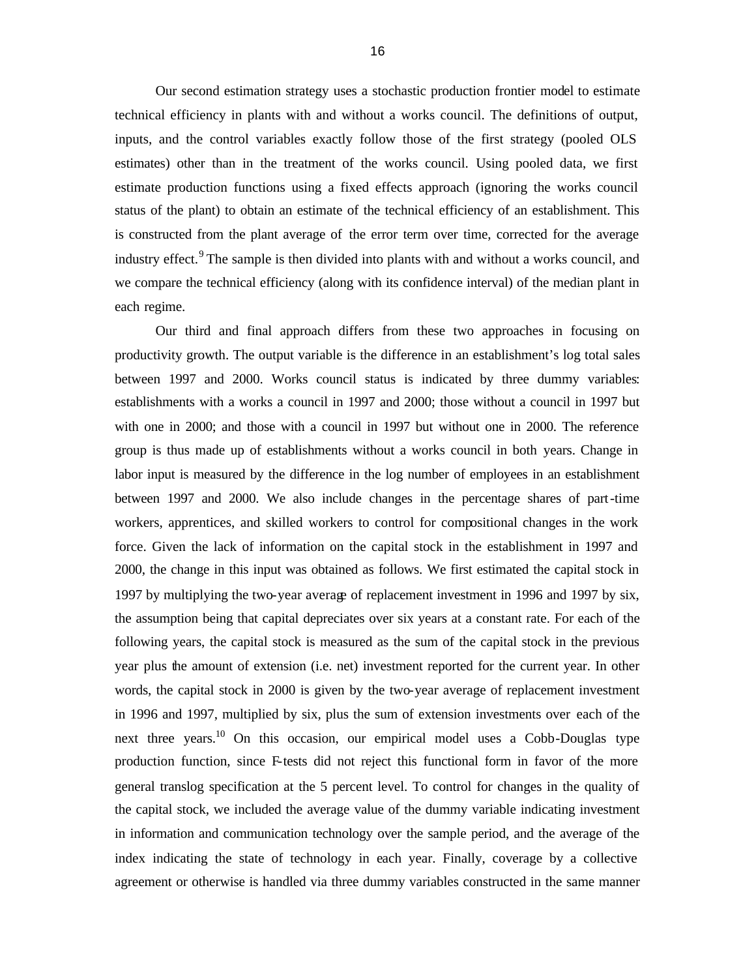Our second estimation strategy uses a stochastic production frontier model to estimate technical efficiency in plants with and without a works council. The definitions of output, inputs, and the control variables exactly follow those of the first strategy (pooled OLS estimates) other than in the treatment of the works council. Using pooled data, we first estimate production functions using a fixed effects approach (ignoring the works council status of the plant) to obtain an estimate of the technical efficiency of an establishment. This is constructed from the plant average of the error term over time, corrected for the average industry effect.<sup>9</sup> The sample is then divided into plants with and without a works council, and we compare the technical efficiency (along with its confidence interval) of the median plant in each regime.

Our third and final approach differs from these two approaches in focusing on productivity growth. The output variable is the difference in an establishment's log total sales between 1997 and 2000. Works council status is indicated by three dummy variables: establishments with a works a council in 1997 and 2000; those without a council in 1997 but with one in 2000; and those with a council in 1997 but without one in 2000. The reference group is thus made up of establishments without a works council in both years. Change in labor input is measured by the difference in the log number of employees in an establishment between 1997 and 2000. We also include changes in the percentage shares of part-time workers, apprentices, and skilled workers to control for compositional changes in the work force. Given the lack of information on the capital stock in the establishment in 1997 and 2000, the change in this input was obtained as follows. We first estimated the capital stock in 1997 by multiplying the two-year average of replacement investment in 1996 and 1997 by six, the assumption being that capital depreciates over six years at a constant rate. For each of the following years, the capital stock is measured as the sum of the capital stock in the previous year plus the amount of extension (i.e. net) investment reported for the current year. In other words, the capital stock in 2000 is given by the two-year average of replacement investment in 1996 and 1997, multiplied by six, plus the sum of extension investments over each of the next three years.<sup>10</sup> On this occasion, our empirical model uses a Cobb-Douglas type production function, since F-tests did not reject this functional form in favor of the more general translog specification at the 5 percent level. To control for changes in the quality of the capital stock, we included the average value of the dummy variable indicating investment in information and communication technology over the sample period, and the average of the index indicating the state of technology in each year. Finally, coverage by a collective agreement or otherwise is handled via three dummy variables constructed in the same manner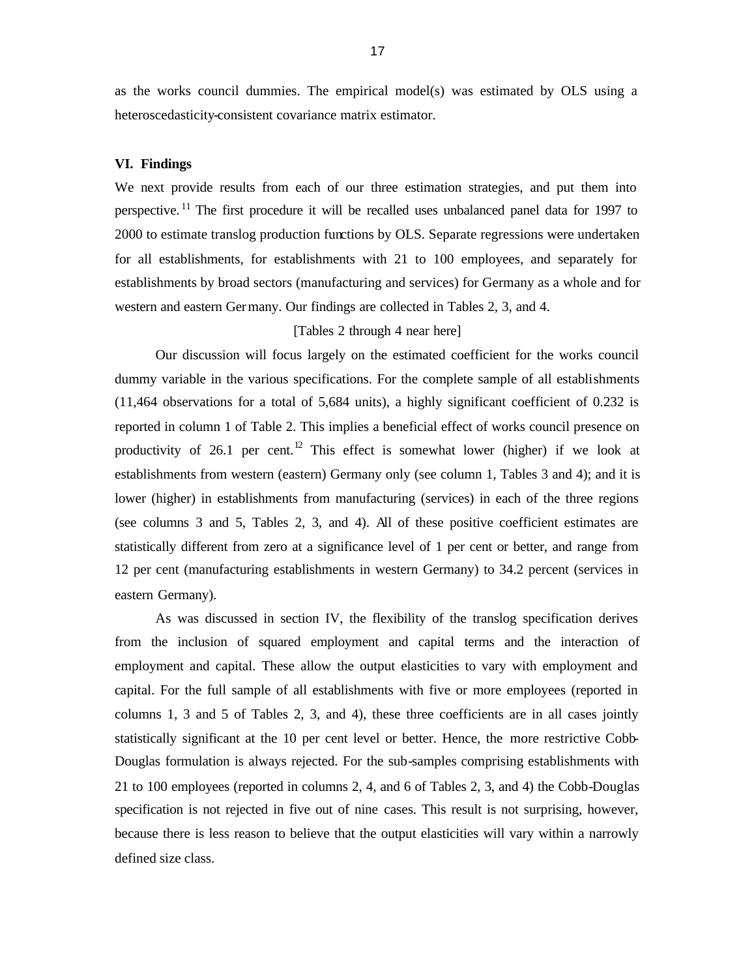as the works council dummies. The empirical model(s) was estimated by OLS using a heteroscedasticity-consistent covariance matrix estimator.

#### **VI. Findings**

We next provide results from each of our three estimation strategies, and put them into perspective.<sup>11</sup> The first procedure it will be recalled uses unbalanced panel data for 1997 to 2000 to estimate translog production functions by OLS. Separate regressions were undertaken for all establishments, for establishments with 21 to 100 employees, and separately for establishments by broad sectors (manufacturing and services) for Germany as a whole and for western and eastern Germany. Our findings are collected in Tables 2, 3, and 4.

#### [Tables 2 through 4 near here]

Our discussion will focus largely on the estimated coefficient for the works council dummy variable in the various specifications. For the complete sample of all establishments (11,464 observations for a total of 5,684 units), a highly significant coefficient of 0.232 is reported in column 1 of Table 2. This implies a beneficial effect of works council presence on productivity of 26.1 per cent.<sup>12</sup> This effect is somewhat lower (higher) if we look at establishments from western (eastern) Germany only (see column 1, Tables 3 and 4); and it is lower (higher) in establishments from manufacturing (services) in each of the three regions (see columns 3 and 5, Tables 2, 3, and 4). All of these positive coefficient estimates are statistically different from zero at a significance level of 1 per cent or better, and range from 12 per cent (manufacturing establishments in western Germany) to 34.2 percent (services in eastern Germany).

As was discussed in section IV, the flexibility of the translog specification derives from the inclusion of squared employment and capital terms and the interaction of employment and capital. These allow the output elasticities to vary with employment and capital. For the full sample of all establishments with five or more employees (reported in columns 1, 3 and 5 of Tables 2, 3, and 4), these three coefficients are in all cases jointly statistically significant at the 10 per cent level or better. Hence, the more restrictive Cobb-Douglas formulation is always rejected. For the sub-samples comprising establishments with 21 to 100 employees (reported in columns 2, 4, and 6 of Tables 2, 3, and 4) the Cobb-Douglas specification is not rejected in five out of nine cases. This result is not surprising, however, because there is less reason to believe that the output elasticities will vary within a narrowly defined size class.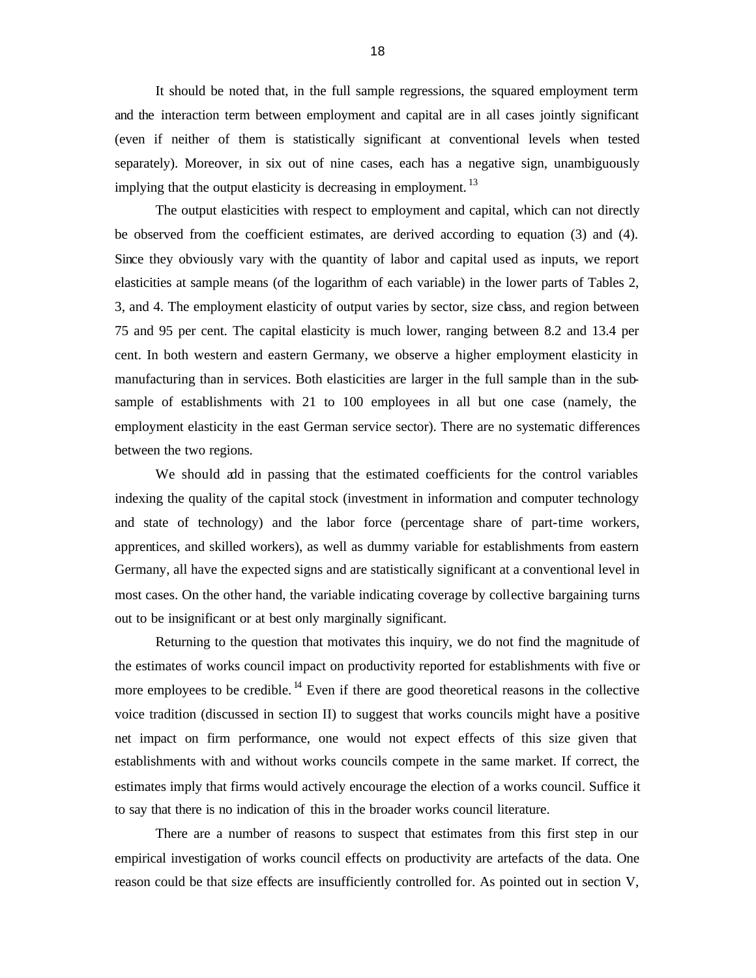It should be noted that, in the full sample regressions, the squared employment term and the interaction term between employment and capital are in all cases jointly significant (even if neither of them is statistically significant at conventional levels when tested separately). Moreover, in six out of nine cases, each has a negative sign, unambiguously implying that the output elasticity is decreasing in employment.<sup>13</sup>

The output elasticities with respect to employment and capital, which can not directly be observed from the coefficient estimates, are derived according to equation (3) and (4). Since they obviously vary with the quantity of labor and capital used as inputs, we report elasticities at sample means (of the logarithm of each variable) in the lower parts of Tables 2, 3, and 4. The employment elasticity of output varies by sector, size class, and region between 75 and 95 per cent. The capital elasticity is much lower, ranging between 8.2 and 13.4 per cent. In both western and eastern Germany, we observe a higher employment elasticity in manufacturing than in services. Both elasticities are larger in the full sample than in the subsample of establishments with 21 to 100 employees in all but one case (namely, the employment elasticity in the east German service sector). There are no systematic differences between the two regions.

We should add in passing that the estimated coefficients for the control variables indexing the quality of the capital stock (investment in information and computer technology and state of technology) and the labor force (percentage share of part-time workers, apprentices, and skilled workers), as well as dummy variable for establishments from eastern Germany, all have the expected signs and are statistically significant at a conventional level in most cases. On the other hand, the variable indicating coverage by collective bargaining turns out to be insignificant or at best only marginally significant.

Returning to the question that motivates this inquiry, we do not find the magnitude of the estimates of works council impact on productivity reported for establishments with five or more employees to be credible.  $^{14}$  Even if there are good theoretical reasons in the collective voice tradition (discussed in section II) to suggest that works councils might have a positive net impact on firm performance, one would not expect effects of this size given that establishments with and without works councils compete in the same market. If correct, the estimates imply that firms would actively encourage the election of a works council. Suffice it to say that there is no indication of this in the broader works council literature.

There are a number of reasons to suspect that estimates from this first step in our empirical investigation of works council effects on productivity are artefacts of the data. One reason could be that size effects are insufficiently controlled for. As pointed out in section V,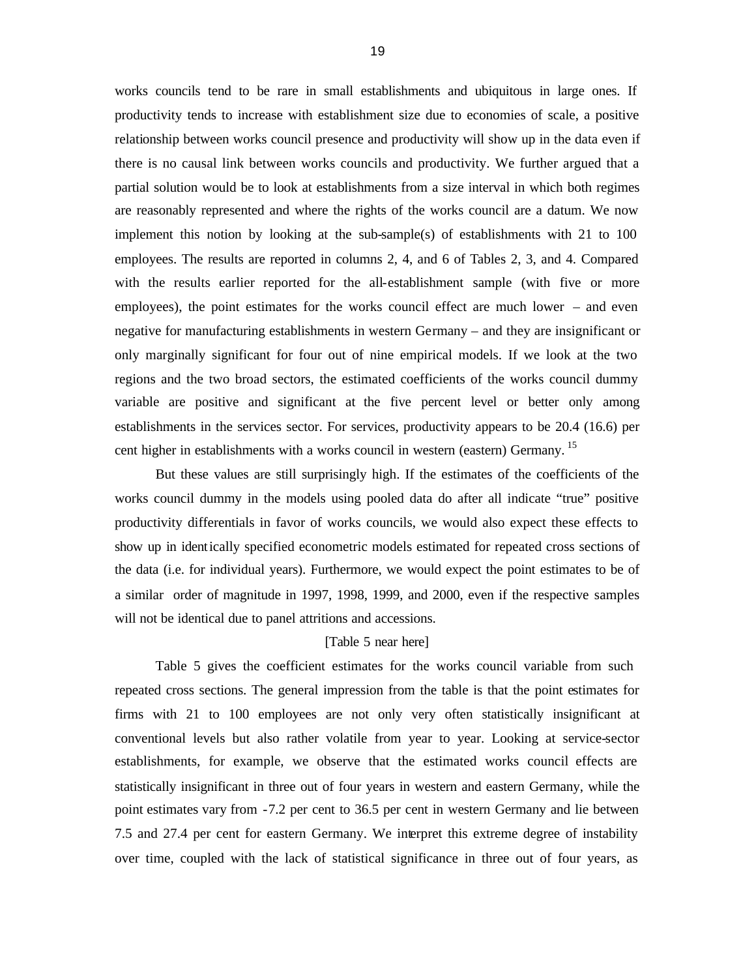works councils tend to be rare in small establishments and ubiquitous in large ones. If productivity tends to increase with establishment size due to economies of scale, a positive relationship between works council presence and productivity will show up in the data even if there is no causal link between works councils and productivity. We further argued that a partial solution would be to look at establishments from a size interval in which both regimes are reasonably represented and where the rights of the works council are a datum. We now implement this notion by looking at the sub-sample(s) of establishments with 21 to 100 employees. The results are reported in columns 2, 4, and 6 of Tables 2, 3, and 4. Compared with the results earlier reported for the all-establishment sample (with five or more employees), the point estimates for the works council effect are much lower – and even negative for manufacturing establishments in western Germany – and they are insignificant or only marginally significant for four out of nine empirical models. If we look at the two regions and the two broad sectors, the estimated coefficients of the works council dummy variable are positive and significant at the five percent level or better only among establishments in the services sector. For services, productivity appears to be 20.4 (16.6) per cent higher in establishments with a works council in western (eastern) Germany.<sup>15</sup>

But these values are still surprisingly high. If the estimates of the coefficients of the works council dummy in the models using pooled data do after all indicate "true" positive productivity differentials in favor of works councils, we would also expect these effects to show up in identically specified econometric models estimated for repeated cross sections of the data (i.e. for individual years). Furthermore, we would expect the point estimates to be of a similar order of magnitude in 1997, 1998, 1999, and 2000, even if the respective samples will not be identical due to panel attritions and accessions.

#### [Table 5 near here]

Table 5 gives the coefficient estimates for the works council variable from such repeated cross sections. The general impression from the table is that the point estimates for firms with 21 to 100 employees are not only very often statistically insignificant at conventional levels but also rather volatile from year to year. Looking at service-sector establishments, for example, we observe that the estimated works council effects are statistically insignificant in three out of four years in western and eastern Germany, while the point estimates vary from -7.2 per cent to 36.5 per cent in western Germany and lie between 7.5 and 27.4 per cent for eastern Germany. We interpret this extreme degree of instability over time, coupled with the lack of statistical significance in three out of four years, as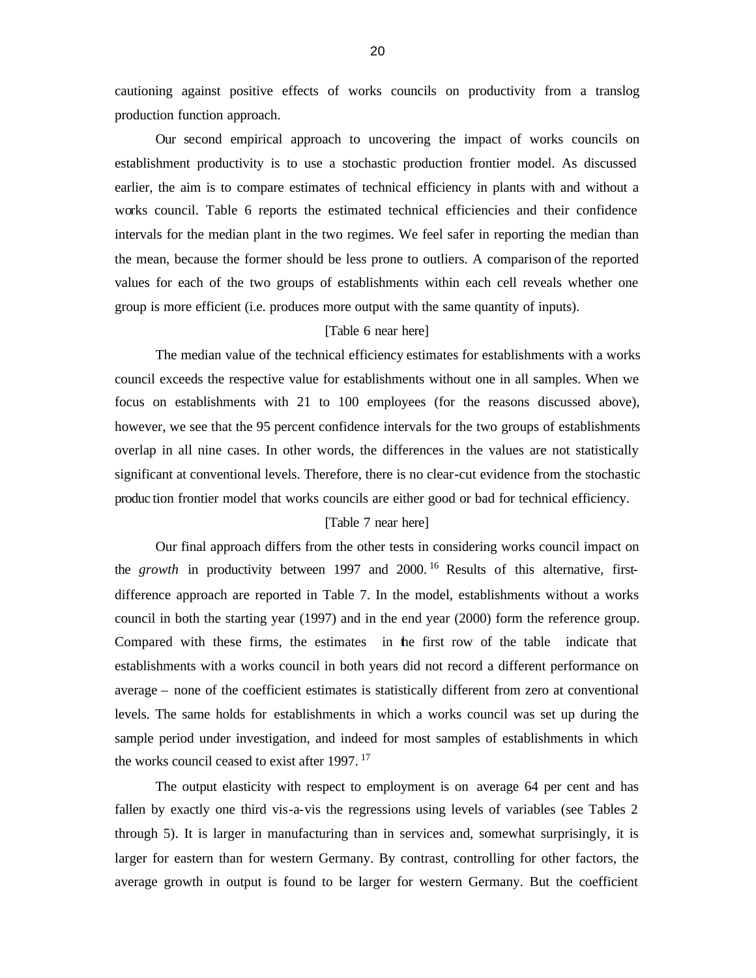cautioning against positive effects of works councils on productivity from a translog production function approach.

Our second empirical approach to uncovering the impact of works councils on establishment productivity is to use a stochastic production frontier model. As discussed earlier, the aim is to compare estimates of technical efficiency in plants with and without a works council. Table 6 reports the estimated technical efficiencies and their confidence intervals for the median plant in the two regimes. We feel safer in reporting the median than the mean, because the former should be less prone to outliers. A comparison of the reported values for each of the two groups of establishments within each cell reveals whether one group is more efficient (i.e. produces more output with the same quantity of inputs).

#### [Table 6 near here]

The median value of the technical efficiency estimates for establishments with a works council exceeds the respective value for establishments without one in all samples. When we focus on establishments with 21 to 100 employees (for the reasons discussed above), however, we see that the 95 percent confidence intervals for the two groups of establishments overlap in all nine cases. In other words, the differences in the values are not statistically significant at conventional levels. Therefore, there is no clear-cut evidence from the stochastic produc tion frontier model that works councils are either good or bad for technical efficiency.

#### [Table 7 near here]

Our final approach differs from the other tests in considering works council impact on the *growth* in productivity between 1997 and 2000.<sup>16</sup> Results of this alternative, firstdifference approach are reported in Table 7. In the model, establishments without a works council in both the starting year (1997) and in the end year (2000) form the reference group. Compared with these firms, the estimates in the first row of the table indicate that establishments with a works council in both years did not record a different performance on average – none of the coefficient estimates is statistically different from zero at conventional levels. The same holds for establishments in which a works council was set up during the sample period under investigation, and indeed for most samples of establishments in which the works council ceased to exist after 1997.<sup>17</sup>

The output elasticity with respect to employment is on average 64 per cent and has fallen by exactly one third vis-a-vis the regressions using levels of variables (see Tables 2 through 5). It is larger in manufacturing than in services and, somewhat surprisingly, it is larger for eastern than for western Germany. By contrast, controlling for other factors, the average growth in output is found to be larger for western Germany. But the coefficient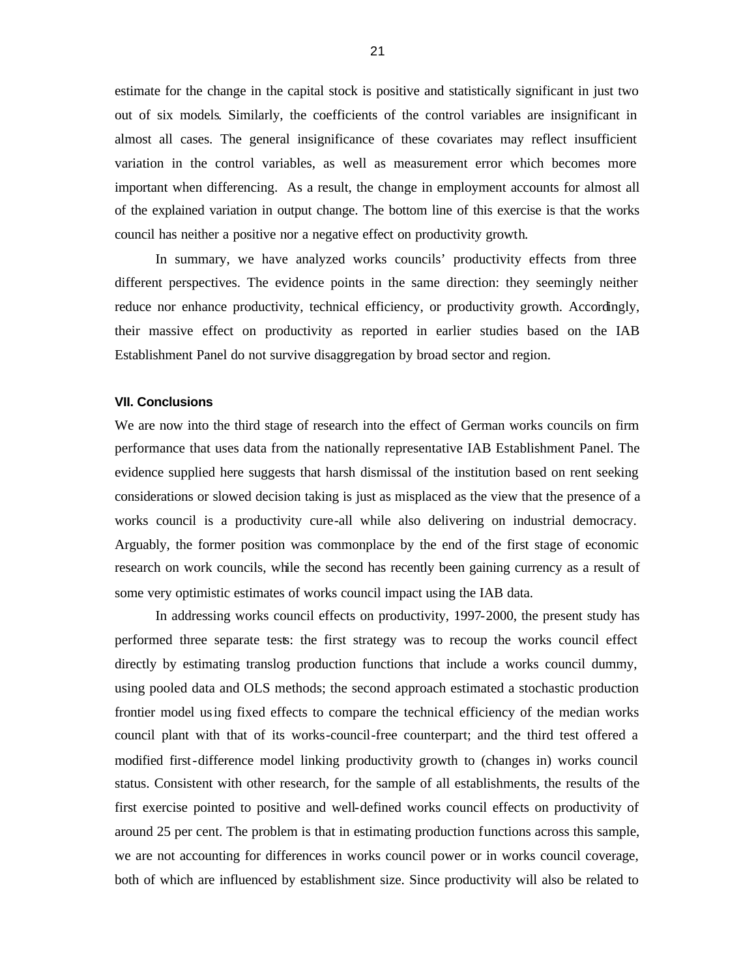estimate for the change in the capital stock is positive and statistically significant in just two out of six models. Similarly, the coefficients of the control variables are insignificant in almost all cases. The general insignificance of these covariates may reflect insufficient variation in the control variables, as well as measurement error which becomes more important when differencing. As a result, the change in employment accounts for almost all of the explained variation in output change. The bottom line of this exercise is that the works council has neither a positive nor a negative effect on productivity growth.

In summary, we have analyzed works councils' productivity effects from three different perspectives. The evidence points in the same direction: they seemingly neither reduce nor enhance productivity, technical efficiency, or productivity growth. Accordingly, their massive effect on productivity as reported in earlier studies based on the IAB Establishment Panel do not survive disaggregation by broad sector and region.

#### **VII. Conclusions**

We are now into the third stage of research into the effect of German works councils on firm performance that uses data from the nationally representative IAB Establishment Panel. The evidence supplied here suggests that harsh dismissal of the institution based on rent seeking considerations or slowed decision taking is just as misplaced as the view that the presence of a works council is a productivity cure-all while also delivering on industrial democracy. Arguably, the former position was commonplace by the end of the first stage of economic research on work councils, while the second has recently been gaining currency as a result of some very optimistic estimates of works council impact using the IAB data.

In addressing works council effects on productivity, 1997-2000, the present study has performed three separate tests: the first strategy was to recoup the works council effect directly by estimating translog production functions that include a works council dummy, using pooled data and OLS methods; the second approach estimated a stochastic production frontier model using fixed effects to compare the technical efficiency of the median works council plant with that of its works-council-free counterpart; and the third test offered a modified first-difference model linking productivity growth to (changes in) works council status. Consistent with other research, for the sample of all establishments, the results of the first exercise pointed to positive and well-defined works council effects on productivity of around 25 per cent. The problem is that in estimating production functions across this sample, we are not accounting for differences in works council power or in works council coverage, both of which are influenced by establishment size. Since productivity will also be related to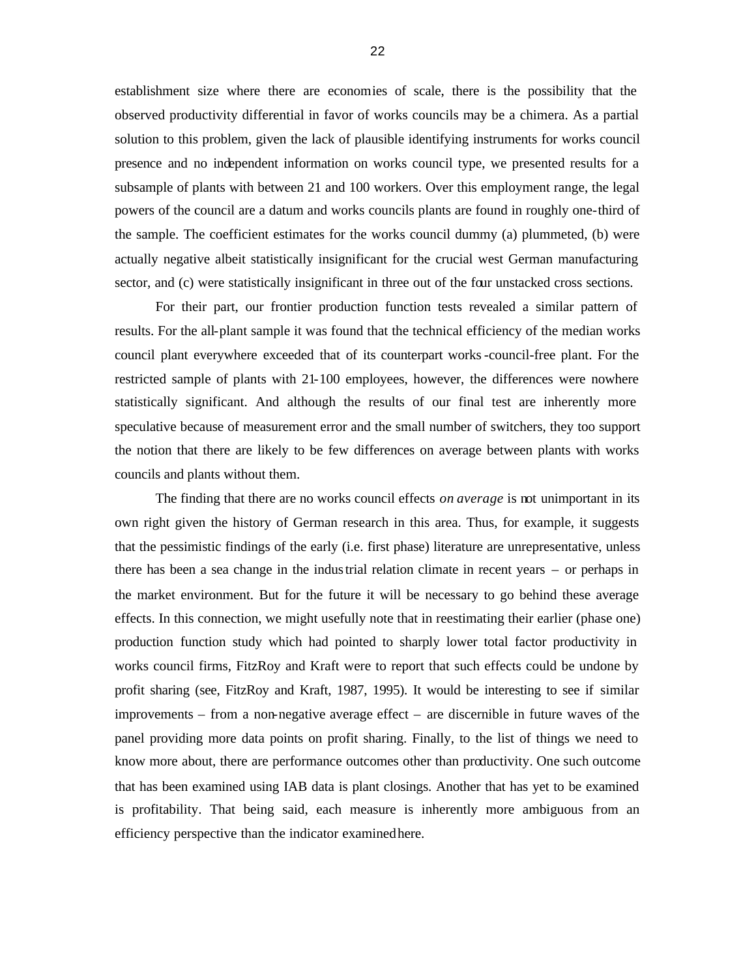establishment size where there are economies of scale, there is the possibility that the observed productivity differential in favor of works councils may be a chimera. As a partial solution to this problem, given the lack of plausible identifying instruments for works council presence and no independent information on works council type, we presented results for a subsample of plants with between 21 and 100 workers. Over this employment range, the legal powers of the council are a datum and works councils plants are found in roughly one-third of the sample. The coefficient estimates for the works council dummy (a) plummeted, (b) were actually negative albeit statistically insignificant for the crucial west German manufacturing sector, and (c) were statistically insignificant in three out of the four unstacked cross sections.

For their part, our frontier production function tests revealed a similar pattern of results. For the all-plant sample it was found that the technical efficiency of the median works council plant everywhere exceeded that of its counterpart works-council-free plant. For the restricted sample of plants with 21-100 employees, however, the differences were nowhere statistically significant. And although the results of our final test are inherently more speculative because of measurement error and the small number of switchers, they too support the notion that there are likely to be few differences on average between plants with works councils and plants without them.

The finding that there are no works council effects *on average* is not unimportant in its own right given the history of German research in this area. Thus, for example, it suggests that the pessimistic findings of the early (i.e. first phase) literature are unrepresentative, unless there has been a sea change in the industrial relation climate in recent years – or perhaps in the market environment. But for the future it will be necessary to go behind these average effects. In this connection, we might usefully note that in reestimating their earlier (phase one) production function study which had pointed to sharply lower total factor productivity in works council firms, FitzRoy and Kraft were to report that such effects could be undone by profit sharing (see, FitzRoy and Kraft, 1987, 1995). It would be interesting to see if similar improvements – from a non-negative average effect – are discernible in future waves of the panel providing more data points on profit sharing. Finally, to the list of things we need to know more about, there are performance outcomes other than productivity. One such outcome that has been examined using IAB data is plant closings. Another that has yet to be examined is profitability. That being said, each measure is inherently more ambiguous from an efficiency perspective than the indicator examined here.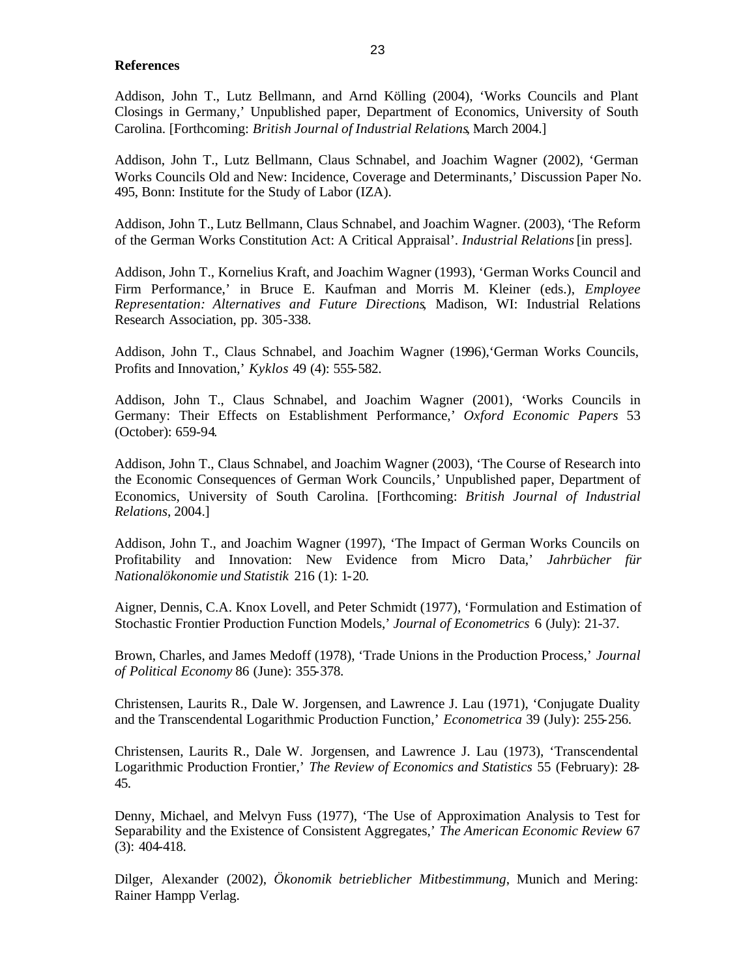#### **References**

Addison, John T., Lutz Bellmann, and Arnd Kölling (2004), 'Works Councils and Plant Closings in Germany,' Unpublished paper, Department of Economics, University of South Carolina. [Forthcoming: *British Journal of Industrial Relations*, March 2004.]

Addison, John T., Lutz Bellmann, Claus Schnabel, and Joachim Wagner (2002), 'German Works Councils Old and New: Incidence, Coverage and Determinants,' Discussion Paper No. 495, Bonn: Institute for the Study of Labor (IZA).

Addison, John T., Lutz Bellmann, Claus Schnabel, and Joachim Wagner. (2003), 'The Reform of the German Works Constitution Act: A Critical Appraisal'. *Industrial Relations* [in press].

Addison, John T., Kornelius Kraft, and Joachim Wagner (1993), 'German Works Council and Firm Performance,' in Bruce E. Kaufman and Morris M. Kleiner (eds.), *Employee Representation: Alternatives and Future Directions*, Madison, WI: Industrial Relations Research Association, pp. 305-338.

Addison, John T., Claus Schnabel, and Joachim Wagner (1996),'German Works Councils, Profits and Innovation,' *Kyklos* 49 (4): 555-582.

Addison, John T., Claus Schnabel, and Joachim Wagner (2001), 'Works Councils in Germany: Their Effects on Establishment Performance,' *Oxford Economic Papers* 53 (October): 659-94.

Addison, John T., Claus Schnabel, and Joachim Wagner (2003), 'The Course of Research into the Economic Consequences of German Work Councils'' Unpublished paper, Department of Economics, University of South Carolina. [Forthcoming: *British Journal of Industrial Relations*, 2004.]

Addison, John T., and Joachim Wagner (1997), 'The Impact of German Works Councils on Profitability and Innovation: New Evidence from Micro Data,' *Jahrbücher für Nationalökonomie und Statistik* 216 (1): 1-20.

Aigner, Dennis, C.A. Knox Lovell, and Peter Schmidt (1977), 'Formulation and Estimation of Stochastic Frontier Production Function Models,' *Journal of Econometrics* 6 (July): 21-37.

Brown, Charles, and James Medoff (1978), 'Trade Unions in the Production Process,' *Journal of Political Economy* 86 (June): 355-378.

Christensen, Laurits R., Dale W. Jorgensen, and Lawrence J. Lau (1971), 'Conjugate Duality and the Transcendental Logarithmic Production Function,' *Econometrica* 39 (July): 255-256.

Christensen, Laurits R., Dale W. Jorgensen, and Lawrence J. Lau (1973), 'Transcendental Logarithmic Production Frontier,' *The Review of Economics and Statistics* 55 (February): 28- 45.

Denny, Michael, and Melvyn Fuss (1977), 'The Use of Approximation Analysis to Test for Separability and the Existence of Consistent Aggregates,' *The American Economic Review* 67 (3): 404-418.

Dilger, Alexander (2002), *Ökonomik betrieblicher Mitbestimmung*, Munich and Mering: Rainer Hampp Verlag.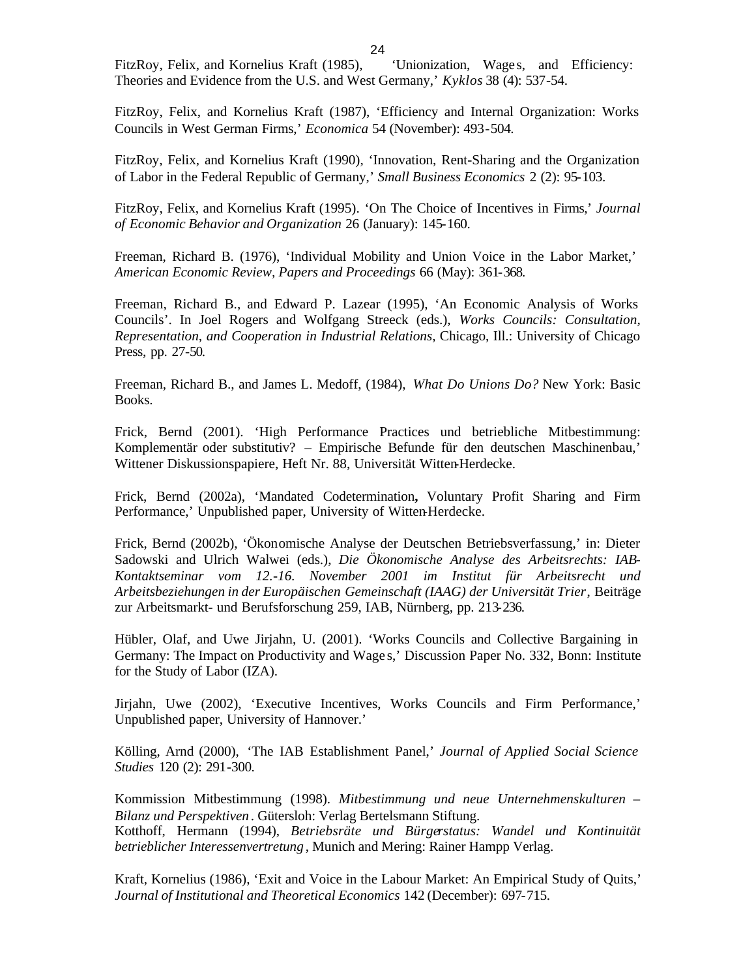FitzRoy, Felix, and Kornelius Kraft (1985), 'Unionization, Wages, and Efficiency: Theories and Evidence from the U.S. and West Germany,' *Kyklos* 38 (4): 537-54.

FitzRoy, Felix, and Kornelius Kraft (1987), 'Efficiency and Internal Organization: Works Councils in West German Firms,' *Economica* 54 (November): 493-504.

FitzRoy, Felix, and Kornelius Kraft (1990), 'Innovation, Rent-Sharing and the Organization of Labor in the Federal Republic of Germany,' *Small Business Economics* 2 (2): 95-103.

FitzRoy, Felix, and Kornelius Kraft (1995). 'On The Choice of Incentives in Firms,' *Journal of Economic Behavior and Organization* 26 (January): 145-160.

Freeman, Richard B. (1976), 'Individual Mobility and Union Voice in the Labor Market,' *American Economic Review, Papers and Proceedings* 66 (May): 361-368.

Freeman, Richard B., and Edward P. Lazear (1995), 'An Economic Analysis of Works Councils'. In Joel Rogers and Wolfgang Streeck (eds.), *Works Councils: Consultation, Representation, and Cooperation in Industrial Relations*, Chicago, Ill.: University of Chicago Press, pp. 27-50.

Freeman, Richard B., and James L. Medoff, (1984), *What Do Unions Do?* New York: Basic Books.

Frick, Bernd (2001). 'High Performance Practices und betriebliche Mitbestimmung: Komplementär oder substitutiv? – Empirische Befunde für den deutschen Maschinenbau,' Wittener Diskussionspapiere, Heft Nr. 88, Universität Witten-Herdecke.

Frick, Bernd (2002a), 'Mandated Codetermination**,** Voluntary Profit Sharing and Firm Performance,' Unpublished paper, University of Witten-Herdecke.

Frick, Bernd (2002b), 'Ökonomische Analyse der Deutschen Betriebsverfassung,' in: Dieter Sadowski and Ulrich Walwei (eds.), *Die Ökonomische Analyse des Arbeitsrechts: IAB-Kontaktseminar vom 12.-16. November 2001 im Institut für Arbeitsrecht und Arbeitsbeziehungen in der Europäischen Gemeinschaft (IAAG) der Universität Trier*, Beiträge zur Arbeitsmarkt- und Berufsforschung 259, IAB, Nürnberg, pp. 213-236.

Hübler, Olaf, and Uwe Jirjahn, U. (2001). 'Works Councils and Collective Bargaining in Germany: The Impact on Productivity and Wage s,' Discussion Paper No. 332, Bonn: Institute for the Study of Labor (IZA).

Jirjahn, Uwe (2002), 'Executive Incentives, Works Councils and Firm Performance,' Unpublished paper, University of Hannover.'

Kölling, Arnd (2000), 'The IAB Establishment Panel,' *Journal of Applied Social Science Studies* 120 (2): 291-300.

Kommission Mitbestimmung (1998). *Mitbestimmung und neue Unternehmenskulturen – Bilanz und Perspektiven* . Gütersloh: Verlag Bertelsmann Stiftung. Kotthoff, Hermann (1994), *Betriebsräte und Bürgerstatus: Wandel und Kontinuität betrieblicher Interessenvertretung* , Munich and Mering: Rainer Hampp Verlag.

Kraft, Kornelius (1986), 'Exit and Voice in the Labour Market: An Empirical Study of Quits,' *Journal of Institutional and Theoretical Economics* 142 (December): 697-715.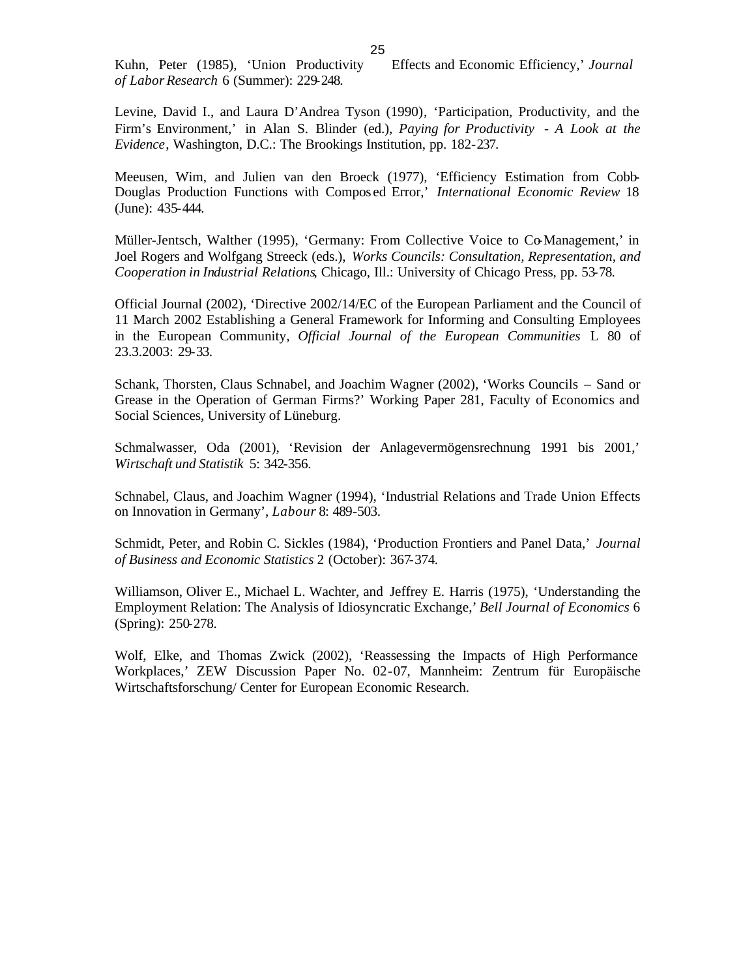Kuhn, Peter (1985), 'Union Productivity Effects and Economic Efficiency,' *Journal of LaborResearch* 6 (Summer): 229-248.

Levine, David I., and Laura D'Andrea Tyson (1990), 'Participation, Productivity, and the Firm's Environment,' in Alan S. Blinder (ed.), *Paying for Productivity - A Look at the Evidence*, Washington, D.C.: The Brookings Institution, pp. 182-237.

Meeusen, Wim, and Julien van den Broeck (1977), 'Efficiency Estimation from Cobb-Douglas Production Functions with Compos ed Error,' *International Economic Review* 18 (June): 435-444.

Müller-Jentsch, Walther (1995), 'Germany: From Collective Voice to Co-Management,' in Joel Rogers and Wolfgang Streeck (eds.), *Works Councils: Consultation, Representation, and Cooperation in Industrial Relations*, Chicago, Ill.: University of Chicago Press, pp. 53-78.

Official Journal (2002), 'Directive 2002/14/EC of the European Parliament and the Council of 11 March 2002 Establishing a General Framework for Informing and Consulting Employees in the European Community, *Official Journal of the European Communities* L 80 of 23.3.2003: 29-33.

Schank, Thorsten, Claus Schnabel, and Joachim Wagner (2002), 'Works Councils – Sand or Grease in the Operation of German Firms?' Working Paper 281, Faculty of Economics and Social Sciences, University of Lüneburg.

Schmalwasser, Oda (2001), 'Revision der Anlagevermögensrechnung 1991 bis 2001,' *Wirtschaft und Statistik* 5: 342-356.

Schnabel, Claus, and Joachim Wagner (1994), 'Industrial Relations and Trade Union Effects on Innovation in Germany', *Labour* 8: 489-503.

Schmidt, Peter, and Robin C. Sickles (1984), 'Production Frontiers and Panel Data,' *Journal of Business and Economic Statistics* 2 (October): 367-374.

Williamson, Oliver E., Michael L. Wachter, and Jeffrey E. Harris (1975), 'Understanding the Employment Relation: The Analysis of Idiosyncratic Exchange,' *Bell Journal of Economics* 6 (Spring): 250-278.

Wolf, Elke, and Thomas Zwick (2002), 'Reassessing the Impacts of High Performance Workplaces,' ZEW Discussion Paper No. 02-07, Mannheim: Zentrum für Europäische Wirtschaftsforschung/ Center for European Economic Research.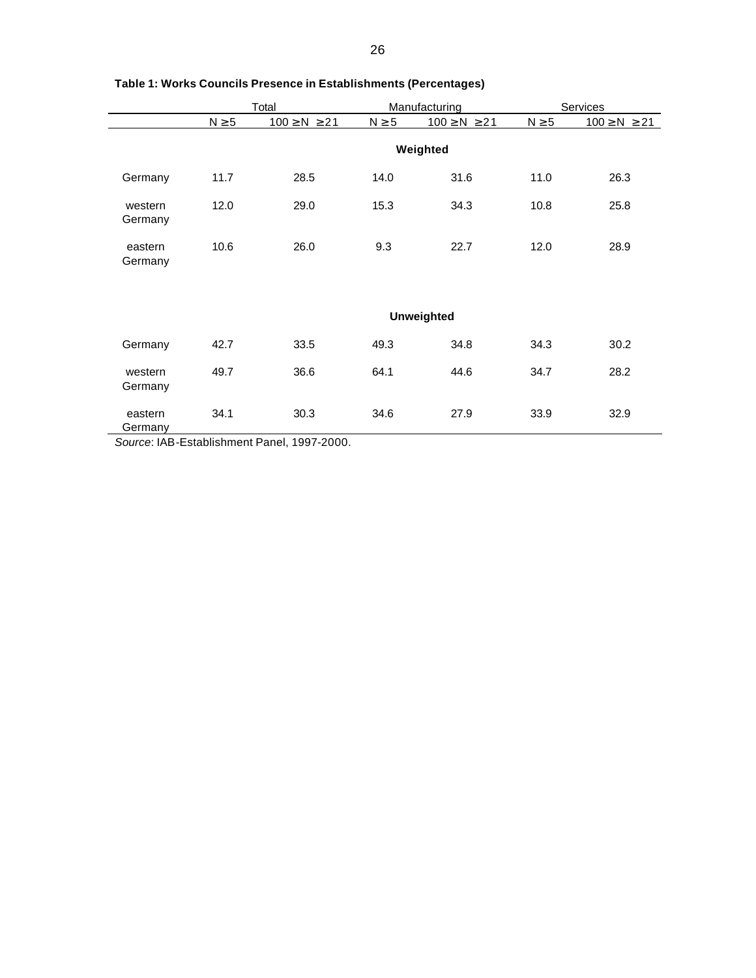|                    |                   | Total                |            | Manufacturing        | Services   |                      |  |  |
|--------------------|-------------------|----------------------|------------|----------------------|------------|----------------------|--|--|
|                    | $N \geq 5$        | $100 \geq N \geq 21$ | $N \geq 5$ | $100 \geq N \geq 21$ | $N \geq 5$ | $100 \geq N \geq 21$ |  |  |
|                    |                   |                      |            | Weighted             |            |                      |  |  |
| Germany            | 11.7              | 28.5                 | 14.0       | 31.6                 | 11.0       | 26.3                 |  |  |
| western<br>Germany | 12.0              | 29.0                 | 15.3       | 34.3                 | 10.8       | 25.8                 |  |  |
| eastern<br>Germany | 10.6              | 26.0                 | 9.3        | 22.7                 | 12.0       | 28.9                 |  |  |
|                    | <b>Unweighted</b> |                      |            |                      |            |                      |  |  |
| Germany            | 42.7              | 33.5                 | 49.3       | 34.8                 | 34.3       | 30.2                 |  |  |
| western<br>Germany | 49.7              | 36.6                 | 64.1       | 44.6                 | 34.7       | 28.2                 |  |  |
| eastern<br>Germany | 34.1              | 30.3                 | 34.6       | 27.9                 | 33.9       | 32.9                 |  |  |

#### **Table 1: Works Councils Presence in Establishments (Percentages)**

*Source*: IAB-Establishment Panel, 1997-2000.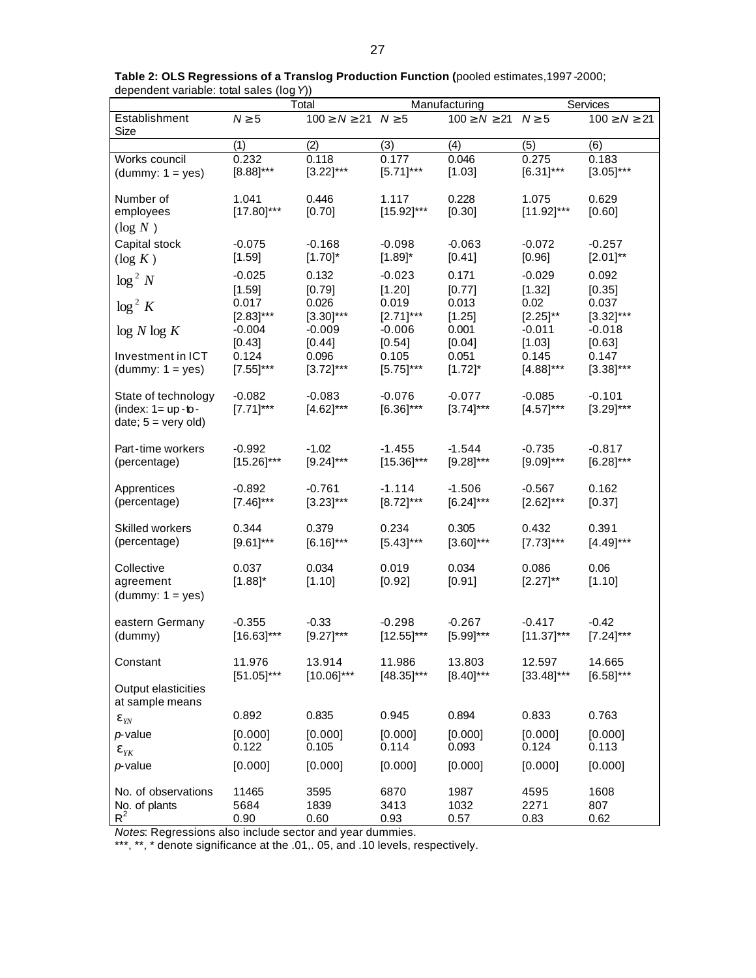|                                                                                 | Total                    |                                 |                          | Manufacturing                   | Services                 |                          |  |
|---------------------------------------------------------------------------------|--------------------------|---------------------------------|--------------------------|---------------------------------|--------------------------|--------------------------|--|
| Establishment<br>Size                                                           | $N \geq 5$               | $100 \geq N \geq 21$ $N \geq 5$ |                          | $100 \geq N \geq 21$ $N \geq 5$ |                          | $100 \ge N \ge 21$       |  |
|                                                                                 | (1)                      | (2)                             | (3)                      | (4)                             | (5)                      | (6)                      |  |
| Works council                                                                   | 0.232                    | 0.118                           | 0.177                    | 0.046                           | 0.275                    | 0.183                    |  |
| $(dummy: 1 = yes)$                                                              | $[8.88]$ ***             | $[3.22]$ ***                    | $[5.71]$ ***             | [1.03]                          | $[6.31]$ ***             | $[3.05]$ ***             |  |
| Number of<br>employees<br>$(\log N)$                                            | 1.041<br>$[17.80]$ ***   | 0.446<br>[0.70]                 | 1.117<br>$[15.92]$ ***   | 0.228<br>[0.30]                 | 1.075<br>$[11.92]$ ***   | 0.629<br>[0.60]          |  |
| Capital stock                                                                   | $-0.075$                 | $-0.168$                        | $-0.098$                 | $-0.063$                        | $-0.072$                 | $-0.257$                 |  |
| $(\log K)$                                                                      | [1.59]                   | $[1.70]^{*}$                    | $[1.89]^{*}$             | [0.41]                          | [0.96]                   | $[2.01]^{**}$            |  |
| $\log^2 N$                                                                      | $-0.025$                 | 0.132                           | $-0.023$                 | 0.171                           | $-0.029$                 | 0.092                    |  |
|                                                                                 | [1.59]                   | [0.79]                          | [1.20]                   | [0.77]                          | [1.32]                   | [0.35]                   |  |
| $\log^2 K$                                                                      | 0.017                    | 0.026                           | 0.019                    | 0.013                           | 0.02                     | 0.037                    |  |
|                                                                                 | $[2.83]$ ***             | $[3.30]^{***}$                  | $[2.71]$ ***             | [1.25]                          | $[2.25]^{**}$            | $[3.32]***$              |  |
| log N log K                                                                     | $-0.004$                 | $-0.009$                        | $-0.006$                 | 0.001                           | $-0.011$                 | $-0.018$                 |  |
|                                                                                 | [0.43]                   | [0.44]                          | [0.54]                   | [0.04]                          | [1.03]                   | [0.63]                   |  |
| Investment in ICT                                                               | 0.124                    | 0.096                           | 0.105                    | 0.051                           | 0.145                    | 0.147                    |  |
| $(dummy: 1 = yes)$                                                              | $[7.55]$ ***             | $[3.72]$ ***                    | $[5.75]$ ***             | $[1.72]$ *                      | $[4.88]$ ***             | $[3.38]$ ***             |  |
| State of technology<br>(index: $1 = up - to -$<br>date; $5 = \text{very old}$ ) | $-0.082$<br>$[7.71]$ *** | $-0.083$<br>$[4.62]^{***}$      | $-0.076$<br>$[6.36]$ *** | $-0.077$<br>$[3.74]$ ***        | $-0.085$<br>$[4.57]$ *** | $-0.101$<br>$[3.29]$ *** |  |
| Part-time workers                                                               | $-0.992$                 | $-1.02$                         | $-1.455$                 | $-1.544$                        | $-0.735$                 | $-0.817$                 |  |
| (percentage)                                                                    | $[15.26]$ ***            | $[9.24]$ ***                    | $[15.36]^{***}$          | $[9.28]$ ***                    | $[9.09]$ ***             | $[6.28]$ ***             |  |
| Apprentices                                                                     | $-0.892$                 | $-0.761$                        | $-1.114$                 | $-1.506$                        | $-0.567$                 | 0.162                    |  |
| (percentage)                                                                    | $[7.46]$ ***             | $[3.23]$ ***                    | $[8.72]^{***}$           | $[6.24]$ ***                    | $[2.62]^{***}$           | [0.37]                   |  |
| Skilled workers                                                                 | 0.344                    | 0.379                           | 0.234                    | 0.305                           | 0.432                    | 0.391                    |  |
| (percentage)                                                                    | $[9.61]$ ***             | $[6.16]^{***}$                  | $[5.43]$ ***             | $[3.60]^{***}$                  | $[7.73]$ ***             | $[4.49]$ ***             |  |
| Collective<br>agreement<br>$(dummy: 1 = yes)$                                   | 0.037<br>$[1.88]^{*}$    | 0.034<br>[1.10]                 | 0.019<br>[0.92]          | 0.034<br>[0.91]                 | 0.086<br>$[2.27]^{**}$   | 0.06<br>[1.10]           |  |
| eastern Germany                                                                 | $-0.355$                 | $-0.33$                         | $-0.298$                 | $-0.267$                        | $-0.417$                 | $-0.42$                  |  |
| (dummy)                                                                         | $[16.63]$ ***            | $[9.27]$ ***                    | $[12.55]$ ***            | $[5.99]$ ***                    | $[11.37]$ ***            | $[7.24]$ ***             |  |
| Constant                                                                        | 11.976                   | 13.914                          | 11.986                   | 13.803                          | 12.597                   | 14.665                   |  |
|                                                                                 | $[51.05]$ ***            | $[10.06]^{***}$                 | $[48.35]$ ***            | $[8.40]^{***}$                  | $[33.48]$ ***            | $[6.58]$ ***             |  |
| Output elasticities<br>at sample means                                          |                          |                                 |                          |                                 |                          |                          |  |
| $\boldsymbol{e}_{\textit{YN}}$                                                  | 0.892                    | 0.835                           | 0.945                    | 0.894                           | 0.833                    | 0.763                    |  |
| $p$ -value                                                                      | [0.000]                  | [0.000]                         | [0.000]                  | [0.000]                         | [0.000]                  | [0.000]                  |  |
| $\mathbf{e}_{YK}$                                                               | 0.122                    | 0.105                           | 0.114                    | 0.093                           | 0.124                    | 0.113                    |  |
| $p$ -value                                                                      | [0.000]                  | [0.000]                         | [0.000]                  | [0.000]                         | [0.000]                  | [0.000]                  |  |
| No. of observations                                                             | 11465                    | 3595                            | 6870                     | 1987                            | 4595                     | 1608                     |  |
| No. of plants                                                                   | 5684                     | 1839                            | 3413                     | 1032                            | 2271                     | 807                      |  |
| $R^2$                                                                           | 0.90                     | 0.60                            | 0.93                     | 0.57                            | 0.83                     | 0.62                     |  |

**Table 2: OLS Regressions of a Translog Production Function (**pooled estimates,1997 -2000; dependent variable: total sales (log *Y*))

*Notes*: Regressions also include sector and year dummies.

\*\*\*, \*\*, \* denote significance at the .01,. 05, and .10 levels, respectively.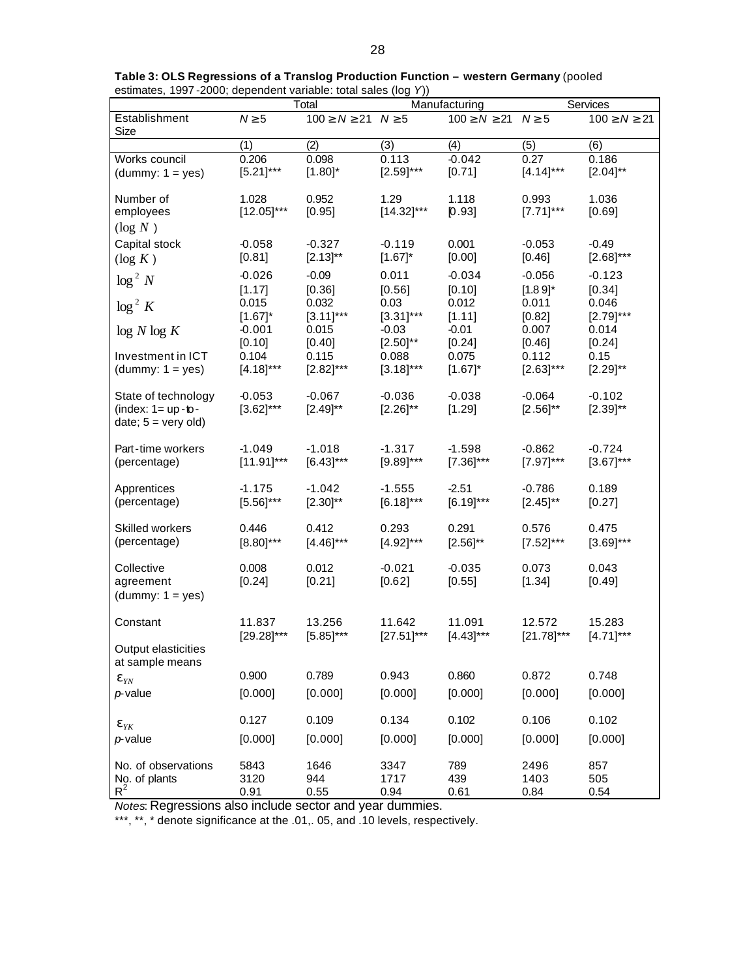| Manufacturing<br>Services<br>Total                                              |                            |                                 |                           |                                 |                           |                           |
|---------------------------------------------------------------------------------|----------------------------|---------------------------------|---------------------------|---------------------------------|---------------------------|---------------------------|
| Establishment<br>Size                                                           | $N \geq 5$                 | $100 \geq N \geq 21$ $N \geq 5$ |                           | $100 \geq N \geq 21$ $N \geq 5$ |                           | $100 \ge N \ge 21$        |
|                                                                                 | (1)                        | (2)                             | (3)                       | (4)                             | (5)                       | (6)                       |
| Works council                                                                   | 0.206                      | 0.098                           | 0.113                     | $-0.042$                        | 0.27                      | 0.186                     |
| $(dummy: 1 = yes)$                                                              | $[5.21]$ ***               | $[1.80]^{*}$                    | $[2.59]$ ***              | [0.71]                          | $[4.14]$ ***              | $[2.04]^{**}$             |
| Number of<br>employees<br>$(\log N)$                                            | 1.028<br>$[12.05]$ ***     | 0.952<br>[0.95]                 | 1.29<br>$[14.32]$ ***     | 1.118<br>[0.93]                 | 0.993<br>$[7.71]$ ***     | 1.036<br>[0.69]           |
| Capital stock                                                                   | $-0.058$                   | $-0.327$                        | $-0.119$                  | 0.001                           | $-0.053$                  | $-0.49$                   |
| $(\log K)$                                                                      | [0.81]                     | $[2.13]^{**}$                   | $[1.67]^{*}$              | [0.00]                          | [0.46]                    | $[2.68]$ ***              |
| $\log^2 N$                                                                      | $-0.026$                   | $-0.09$                         | 0.011                     | $-0.034$                        | $-0.056$                  | $-0.123$                  |
|                                                                                 | [1.17]                     | [0.36]                          | [0.56]                    | [0.10]                          | $[1.89]$ *                | [0.34]                    |
| $\log^2 K$                                                                      | 0.015                      | 0.032                           | 0.03                      | 0.012                           | 0.011                     | 0.046                     |
|                                                                                 | $[1.67]$ *                 | $[3.11]$ ***                    | $[3.31]$ ***              | [1.11]                          | [0.82]                    | $[2.79]$ ***              |
| log N log K                                                                     | $-0.001$                   | 0.015                           | $-0.03$                   | $-0.01$                         | 0.007                     | 0.014                     |
|                                                                                 | [0.10]                     | [0.40]                          | $[2.50]^{**}$             | [0.24]                          | [0.46]                    | [0.24]                    |
| Investment in ICT                                                               | 0.104                      | 0.115                           | 0.088                     | 0.075                           | 0.112                     | 0.15                      |
| $(dummy: 1 = yes)$                                                              | $[4.18]$ ***               | $[2.82]$ ***                    | $[3.18]$ ***              | $[1.67]$ *                      | $[2.63]^{***}$            | $[2.29]^{**}$             |
| State of technology<br>(index: $1 = up - to -$<br>date; $5 = \text{very old}$ ) | $-0.053$<br>$[3.62]^{***}$ | $-0.067$<br>$[2.49]^{**}$       | $-0.036$<br>$[2.26]^{**}$ | $-0.038$<br>[1.29]              | $-0.064$<br>$[2.56]^{**}$ | $-0.102$<br>$[2.39]^{**}$ |
| Part-time workers                                                               | $-1.049$                   | $-1.018$                        | $-1.317$                  | $-1.598$                        | $-0.862$                  | $-0.724$                  |
| (percentage)                                                                    | $[11.91]$ ***              | $[6.43]$ ***                    | $[9.89]$ ***              | $[7.36]^{***}$                  | $[7.97]$ ***              | $[3.67]$ ***              |
| Apprentices                                                                     | $-1.175$                   | $-1.042$                        | $-1.555$                  | $-2.51$                         | $-0.786$                  | 0.189                     |
| (percentage)                                                                    | $[5.56]^{***}$             | $[2.30]^{**}$                   | $[6.18]$ ***              | $[6.19]^{***}$                  | $[2.45]^{**}$             | [0.27]                    |
| Skilled workers                                                                 | 0.446                      | 0.412                           | 0.293                     | 0.291                           | 0.576                     | 0.475                     |
| (percentage)                                                                    | $[8.80]^{***}$             | $[4.46]$ ***                    | $[4.92]$ ***              | $[2.56]^{**}$                   | $[7.52]$ ***              | $[3.69]$ ***              |
| Collective<br>agreement<br>$(dummy: 1 = yes)$                                   | 0.008<br>[0.24]            | 0.012<br>[0.21]                 | $-0.021$<br>[0.62]        | $-0.035$<br>[0.55]              | 0.073<br>[1.34]           | 0.043<br>[0.49]           |
| Constant                                                                        | 11.837                     | 13.256                          | 11.642                    | 11.091                          | 12.572                    | 15.283                    |
|                                                                                 | $[29.28]^{***}$            | $[5.85]$ ***                    | $[27.51]$ ***             | $[4.43]$ ***                    | $[21.78]^{***}$           | $[4.71]***$               |
| Output elasticities<br>at sample means                                          |                            |                                 |                           |                                 |                           |                           |
| $\mathbf{e}_{\scriptscriptstyle {\it YN}}$                                      | 0.900                      | 0.789                           | 0.943                     | 0.860                           | 0.872                     | 0.748                     |
| $p$ -value                                                                      | [0.000]                    | [0.000]                         | [0.000]                   | [0.000]                         | [0.000]                   | [0.000]                   |
| $\mathbf{e}_{YK}$                                                               | 0.127                      | 0.109                           | 0.134                     | 0.102                           | 0.106                     | 0.102                     |
| $p$ -value                                                                      | [0.000]                    | [0.000]                         | [0.000]                   | [0.000]                         | [0.000]                   | [0.000]                   |
| No. of observations                                                             | 5843                       | 1646                            | 3347                      | 789                             | 2496                      | 857                       |
| No. of plants                                                                   | 3120                       | 944                             | 1717                      | 439                             | 1403                      | 505                       |
| $R^2$                                                                           | 0.91                       | 0.55                            | 0.94                      | 0.61                            | 0.84                      | 0.54                      |

**Table 3: OLS Regressions of a Translog Production Function – western Germany** (pooled estimates, 1997 -2000; dependent variable: total sales (log *Y*))

*Notes*: Regressions also include sector and year dummies.

\*\*\*, \*\*, \* denote significance at the .01,. 05, and .10 levels, respectively.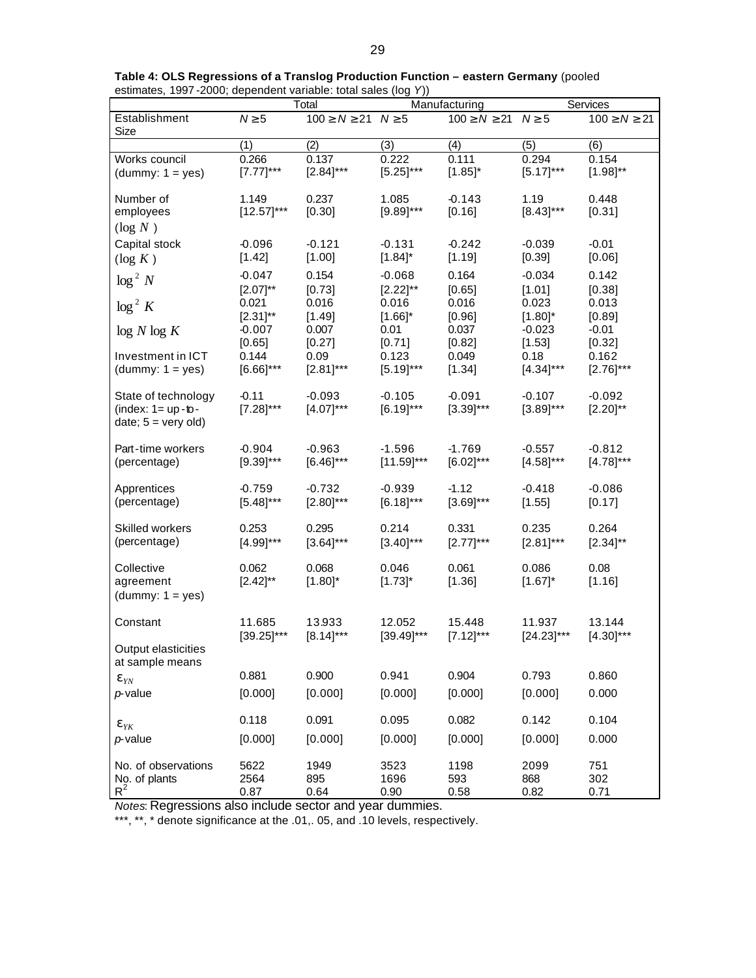|                                                                                 |                             | Total                           |                             | Manufacturing                   | Services                   |                            |  |
|---------------------------------------------------------------------------------|-----------------------------|---------------------------------|-----------------------------|---------------------------------|----------------------------|----------------------------|--|
| Establishment<br>Size                                                           | $N \geq 5$                  | $100 \geq N \geq 21$ $N \geq 5$ |                             | $100 \geq N \geq 21$ $N \geq 5$ |                            | $100 \geq N \geq 21$       |  |
|                                                                                 | (1)                         | (2)                             | (3)                         | (4)                             | (5)                        | (6)                        |  |
| Works council<br>$(dummy: 1 = yes)$                                             | 0.266<br>$[7.77]$ ***       | 0.137<br>$[2.84]$ ***           | 0.222<br>$[5.25]$ ***       | 0.111<br>$[1.85]^{*}$           | 0.294<br>$[5.17]$ ***      | 0.154<br>$[1.98]^{**}$     |  |
| Number of<br>employees<br>$(\log N)$                                            | 1.149<br>$[12.57]$ ***      | 0.237<br>[0.30]                 | 1.085<br>$[9.89]$ ***       | $-0.143$<br>[0.16]              | 1.19<br>$[8.43]$ ***       | 0.448<br>[0.31]            |  |
| Capital stock<br>$(\log K)$                                                     | $-0.096$<br>[1.42]          | $-0.121$<br>[1.00]              | $-0.131$<br>$[1.84]$ *      | $-0.242$<br>[1.19]              | $-0.039$<br>[0.39]         | $-0.01$<br>[0.06]          |  |
| $\log^2 N$                                                                      | $-0.047$<br>$[2.07]^{**}$   | 0.154<br>[0.73]                 | $-0.068$<br>$[2.22]^{**}$   | 0.164<br>[0.65]                 | $-0.034$<br>[1.01]         | 0.142<br>[0.38]            |  |
| $\log^2 K$                                                                      | 0.021<br>$[2.31]^{**}$      | 0.016<br>[1.49]                 | 0.016<br>$[1.66]$ *         | 0.016<br>[0.96]                 | 0.023<br>$[1.80]^{*}$      | 0.013<br>[0.89]            |  |
| log N log K<br>Investment in ICT                                                | $-0.007$<br>[0.65]<br>0.144 | 0.007<br>[0.27]<br>0.09         | 0.01<br>[0.71]<br>0.123     | 0.037<br>[0.82]<br>0.049        | $-0.023$<br>[1.53]<br>0.18 | $-0.01$<br>[0.32]<br>0.162 |  |
| $(dummy: 1 = yes)$                                                              | $[6.66]$ ***                | $[2.81]$ ***                    | $[5.19]$ ***                | [1.34]                          | $[4.34]$ ***               | $[2.76]$ ***               |  |
| State of technology<br>(index: $1 = up - to -$<br>date; $5 = \text{very old}$ ) | $-0.11$<br>$[7.28]^{***}$   | $-0.093$<br>$[4.07]$ ***        | $-0.105$<br>$[6.19]$ ***    | $-0.091$<br>$[3.39]$ ***        | $-0.107$<br>$[3.89]$ ***   | $-0.092$<br>$[2.20]^{**}$  |  |
| Part-time workers<br>(percentage)                                               | $-0.904$<br>$[9.39]$ ***    | $-0.963$<br>$[6.46]$ ***        | $-1.596$<br>$[11.59]^{***}$ | $-1.769$<br>$[6.02]^{***}$      | $-0.557$<br>$[4.58]$ ***   | $-0.812$<br>$[4.78]$ ***   |  |
| Apprentices<br>(percentage)                                                     | $-0.759$<br>$[5.48]$ ***    | $-0.732$<br>$[2.80]^{***}$      | $-0.939$<br>$[6.18]$ ***    | $-1.12$<br>$[3.69]^{***}$       | $-0.418$<br>[1.55]         | $-0.086$<br>[0.17]         |  |
| Skilled workers<br>(percentage)                                                 | 0.253<br>$[4.99]$ ***       | 0.295<br>$[3.64]$ ***           | 0.214<br>$[3.40]$ ***       | 0.331<br>$[2.77]$ ***           | 0.235<br>$[2.81]$ ***      | 0.264<br>$[2.34]^{**}$     |  |
| Collective<br>agreement<br>$(dummy: 1 = yes)$                                   | 0.062<br>$[2.42]^{**}$      | 0.068<br>$[1.80]^{*}$           | 0.046<br>$[1.73]^{*}$       | 0.061<br>[1.36]                 | 0.086<br>$[1.67]^{*}$      | 0.08<br>[1.16]             |  |
| Constant                                                                        | 11.685<br>$[39.25]$ ***     | 13.933<br>$[8.14]$ ***          | 12.052<br>$[39.49]$ ***     | 15.448<br>$[7.12]***$           | 11.937<br>$[24.23]$ ***    | 13.144<br>$[4.30]$ ***     |  |
| Output elasticities<br>at sample means                                          |                             |                                 |                             |                                 |                            |                            |  |
| $\mathbf{e}_{YN}$                                                               | 0.881                       | 0.900                           | 0.941                       | 0.904                           | 0.793                      | 0.860                      |  |
| $p$ -value                                                                      | [0.000]                     | [0.000]                         | [0.000]                     | [0.000]                         | [0.000]                    | 0.000                      |  |
| $\mathbf{e}_{YK}$                                                               | 0.118                       | 0.091                           | 0.095                       | 0.082                           | 0.142                      | 0.104                      |  |
| $p$ -value                                                                      | [0.000]                     | [0.000]                         | [0.000]                     | [0.000]                         | [0.000]                    | 0.000                      |  |
| No. of observations<br>No. of plants<br>$R^2$                                   | 5622<br>2564<br>0.87        | 1949<br>895<br>0.64             | 3523<br>1696<br>0.90        | 1198<br>593<br>0.58             | 2099<br>868<br>0.82        | 751<br>302<br>0.71         |  |

**Table 4: OLS Regressions of a Translog Production Function – eastern Germany** (pooled estimates, 1997 -2000; dependent variable: total sales (log *Y*))

*Notes*: Regressions also include sector and year dummies.

\*\*\*, \*\*, \* denote significance at the .01,. 05, and .10 levels, respectively.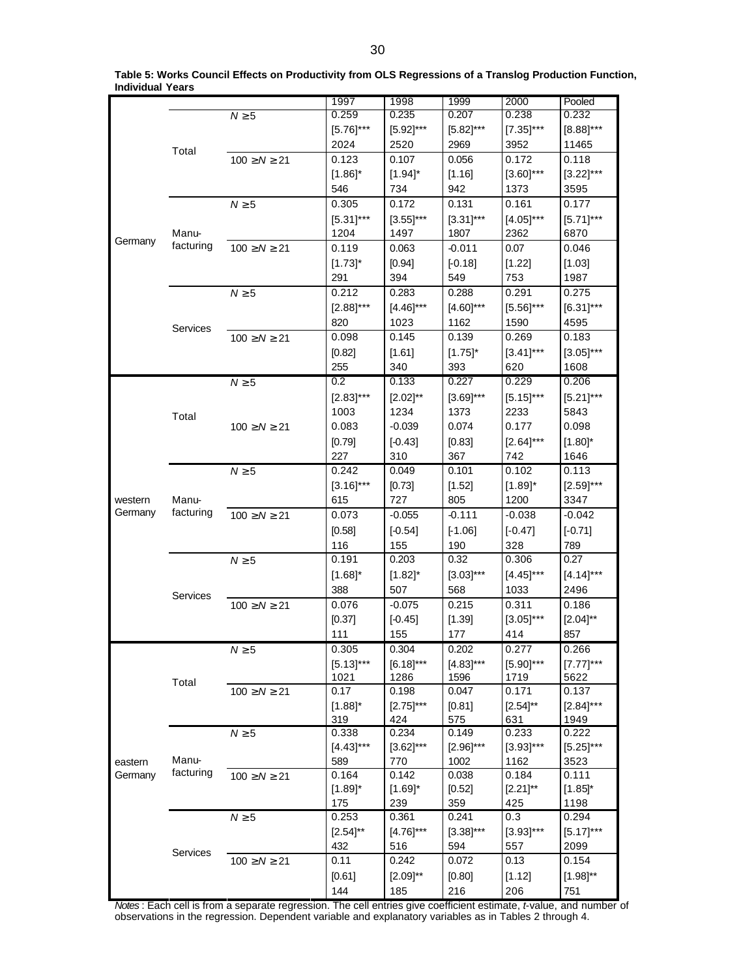|         |           |                      | 1997                  | 1998           | 1999           | 2000           | Pooled         |
|---------|-----------|----------------------|-----------------------|----------------|----------------|----------------|----------------|
|         |           | $N \geq 5$           | 0.259                 | 0.235          | 0.207          | 0.238          | 0.232          |
|         |           |                      |                       |                |                |                |                |
|         |           |                      | $[5.76]$ ***          | $[5.92]$ ***   | $[5.82]$ ***   | $[7.35]$ ***   | $[8.88]$ ***   |
|         | Total     |                      | 2024                  | 2520           | 2969           | 3952           | 11465          |
|         |           | $100 \ge N \ge 21$   | 0.123                 | 0.107          | 0.056          | 0.172          | 0.118          |
|         |           |                      | $[1.86]$ *            | $[1.94]$ *     | [1.16]         | $[3.60]$ ***   | $[3.22]$ ***   |
|         |           |                      | 546                   | 734            | 942            | 1373           | 3595           |
|         |           | $N \geq 5$           | 0.305                 | 0.172          | 0.131          | 0.161          | 0.177          |
|         |           |                      | $[5.31]***$           | $[3.55]$ ***   | $[3.31]$ ***   | $[4.05]$ ***   | $[5.71]$ ***   |
|         | Manu-     |                      | 1204                  | 1497           | 1807           | 2362           | 6870           |
| Germany | facturing | $100 \ge N \ge 21$   | 0.119                 | 0.063          | $-0.011$       | 0.07           | 0.046          |
|         |           |                      |                       |                |                |                |                |
|         |           |                      | $[1.73]$ *            | [0.94]         | $[-0.18]$      | [1.22]         | [1.03]         |
|         |           |                      | 291                   | 394            | 549            | 753            | 1987           |
|         |           | $N \geq 5$           | 0.212                 | 0.283          | 0.288          | 0.291          | 0.275          |
|         |           |                      | $[2.88]$ ***          | $[4.46]$ ***   | $[4.60]$ ***   | $[5.56]$ ***   | $[6.31]$ ***   |
|         |           |                      | 820                   | 1023           | 1162           | 1590           | 4595           |
|         | Services  | $100 \ge N \ge 21$   | 0.098                 | 0.145          | 0.139          | 0.269          | 0.183          |
|         |           |                      | [0.82]                | [1.61]         | $[1.75]$ *     | $[3.41]$ ***   | $[3.05]^{***}$ |
|         |           |                      | 255                   | 340            | 393            | 620            | 1608           |
|         |           |                      | $0.2\,$               | 0.133          | 0.227          | 0.229          | 0.206          |
|         |           | $N \geq 5$           |                       |                |                |                |                |
|         |           |                      | $[2.83]$ ***          | $[2.02]^{**}$  | $[3.69]$ ***   | $[5.15]$ ***   | $[5.21]$ ***   |
|         | Total     |                      | 1003                  | 1234           | 1373           | 2233           | 5843           |
|         |           | $100 \ge N \ge 21$   | 0.083                 | $-0.039$       | 0.074          | 0.177          | 0.098          |
|         |           |                      | [0.79]                | $[-0.43]$      | [0.83]         | $[2.64]$ ***   | $[1.80]^{*}$   |
|         |           |                      | 227                   | 310            | 367            | 742            | 1646           |
|         |           | $N \geq 5$           | 0.242                 | 0.049          | 0.101          | 0.102          | 0.113          |
|         |           |                      | $[3.16]$ ***          | [0.73]         | [1.52]         | $[1.89]$ *     | $[2.59]$ ***   |
| western | Manu-     |                      | 615                   | 727            | 805            | 1200           | 3347           |
| Germany | facturing |                      |                       |                |                |                |                |
|         |           | $100 \ge N \ge 21$   | 0.073                 | $-0.055$       | $-0.111$       | $-0.038$       | $-0.042$       |
|         |           |                      | [0.58]                | $[-0.54]$      | $[-1.06]$      | $[-0.47]$      | $[-0.71]$      |
|         |           |                      | 116                   | 155            | 190            | 328            | 789            |
|         |           | $N \geq 5$           | 0.191                 | 0.203          | 0.32           | 0.306          | 0.27           |
|         |           |                      | $[1.68]^{*}$          | $[1.82]$ *     | $[3.03]$ ***   | $[4.45]$ ***   | $[4.14]$ ***   |
|         |           |                      | 388                   | 507            | 568            | 1033           | 2496           |
|         | Services  | $100 \ge N \ge 21$   | 0.076                 | $-0.075$       | 0.215          | 0.311          | 0.186          |
|         |           |                      | [0.37]                |                | [1.39]         | $[3.05]$ ***   | $[2.04]^{**}$  |
|         |           |                      |                       | $[-0.45]$      |                |                |                |
|         |           |                      | 111                   | 155            | 177            | 414            | 857            |
|         |           | $N \geq 5$           | 0.305                 | 0.304          | 0.202          | 0.277          | 0.266          |
|         |           |                      | $[5.13]$ ***          | $[6.18]$ ***   | $[4.83]$ ***   | $[5.90]^{***}$ | $[7.77]***$    |
|         | Total     |                      | 1021                  | 1286           | 1596           | 1719           | 5622           |
|         |           | $100 \geq N \geq 21$ | 0.17                  | 0.198          | 0.047          | 0.171          | 0.137          |
|         |           |                      | $[1.88]$ <sup>*</sup> | $[2.75]^{***}$ | [0.81]         | $[2.54]^{**}$  | $[2.84]$ ***   |
|         |           |                      | 319                   | 424            | 575            | 631            | 1949           |
|         |           | $N \geq 5$           | 0.338                 | 0.234          | 0.149          | 0.233          | 0.222          |
|         |           |                      | $[4.43]$ ***          | $[3.62]$ ***   | $[2.96]^{***}$ | $[3.93]***$    | $[5.25]^{***}$ |
| eastern | Manu-     |                      | 589                   | 770            | 1002           | 1162           | 3523           |
| Germany | facturing | $100 \ge N \ge 21$   | 0.164                 | 0.142          | 0.038          | 0.184          | 0.111          |
|         |           |                      | $[1.89]$ *            | $[1.69]$ *     | [0.52]         | $[2.21]^{**}$  | $[1.85]^{*}$   |
|         |           |                      | 175                   | 239            | 359            | 425            | 1198           |
|         |           | $N \geq 5$           | 0.253                 | 0.361          | 0.241          | 0.3            | 0.294          |
|         |           |                      | $[2.54]^{**}$         | $[4.76]$ ***   | $[3.38]$ ***   | $[3.93]$ ***   | $[5.17]$ ***   |
|         |           |                      | 432                   | 516            | 594            | 557            | 2099           |
|         | Services  |                      | 0.11                  | 0.242          | 0.072          | 0.13           | 0.154          |
|         |           | $100 \geq N \geq 21$ |                       |                |                |                |                |
|         |           |                      | [0.61]                | $[2.09]^{**}$  | [0.80]         | [1.12]         | $[1.98]^{**}$  |
|         |           |                      | 144                   | 185            | 216            | 206            | 751            |

**Table 5: Works Council Effects on Productivity from OLS Regressions of a Translog Production Function, Individual Years** 

*Notes* : Each cell is from a separate regression. The cell entries give coefficient estimate, *t*-value, and number of observations in the regression. Dependent variable and explanatory variables as in Tables 2 through 4.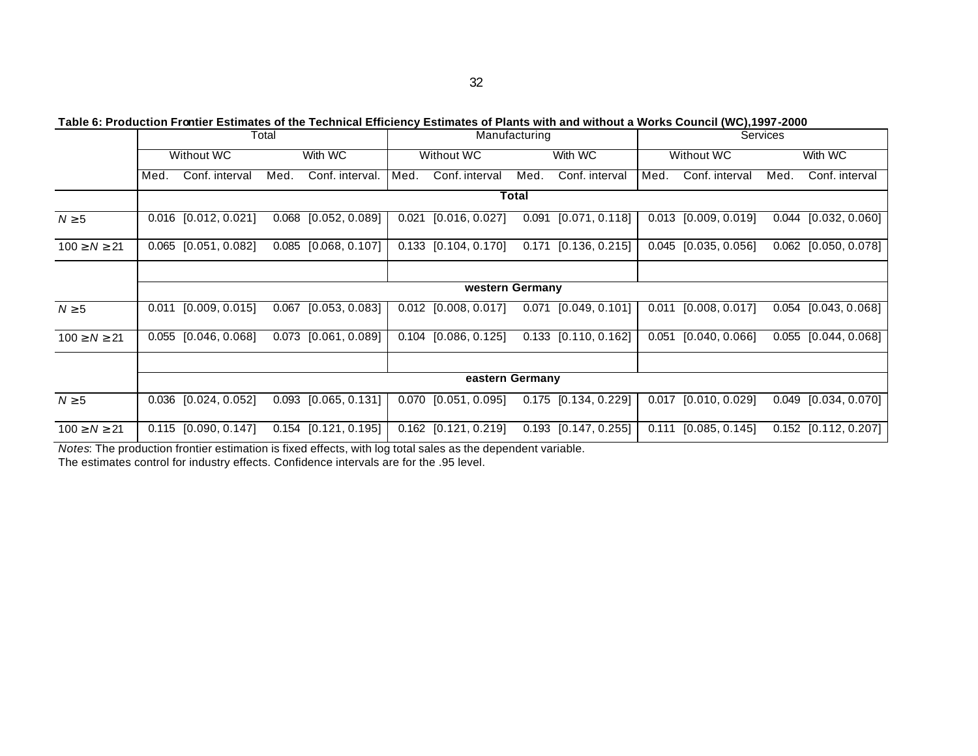**Table 6: Production Frontier Estimates of the Technical Efficiency Estimates of Plants with and without a Works Council (WC),1997-2000**

|                    |                 |                        | Total |                        | Manufacturing |                        |       | Services                 |       |                        |      |                        |
|--------------------|-----------------|------------------------|-------|------------------------|---------------|------------------------|-------|--------------------------|-------|------------------------|------|------------------------|
|                    |                 | Without WC             |       | With WC                |               | Without WC             |       | With WC                  |       | Without WC             |      | With WC                |
|                    | Med.            | Conf. interval         | Med.  | Conf. interval.        | Med.          | Conf. interval         | Med.  | Conf. interval           | Med.  | Conf. interval         | Med. | Conf. interval         |
|                    | Total           |                        |       |                        |               |                        |       |                          |       |                        |      |                        |
| $N \geq 5$         |                 | $0.016$ [0.012, 0.021] |       | $0.068$ [0.052, 0.089] |               | $0.021$ [0.016, 0.027] |       | $0.091$ [0.071, 0.118]   |       | $0.013$ [0.009, 0.019] |      | $0.044$ [0.032, 0.060] |
| $100 \ge N \ge 21$ |                 | $0.065$ [0.051, 0.082] |       | $0.085$ [0.068, 0.107] |               | $0.133$ [0.104, 0.170] | 0.171 | [0.136, 0.215]           |       | $0.045$ [0.035, 0.056] |      | $0.062$ [0.050, 0.078] |
|                    |                 |                        |       |                        |               |                        |       |                          |       |                        |      |                        |
|                    |                 |                        |       |                        |               | western Germany        |       |                          |       |                        |      |                        |
| $N \geq 5$         | 0.011           | [0.009, 0.015]         |       | $0.067$ [0.053, 0.083] |               | $0.012$ [0.008, 0.017] |       | $0.071$ $[0.049, 0.101]$ | 0.011 | [0.008, 0.017]         |      | $0.054$ [0.043, 0.068] |
| $100 \ge N \ge 21$ |                 | $0.055$ [0.046, 0.068] |       | $0.073$ [0.061, 0.089] |               | $0.104$ [0.086, 0.125] |       | $0.133$ [0.110, 0.162]   | 0.051 | [0.040, 0.066]         |      | $0.055$ [0.044, 0.068] |
|                    |                 |                        |       |                        |               |                        |       |                          |       |                        |      |                        |
|                    | eastern Germany |                        |       |                        |               |                        |       |                          |       |                        |      |                        |
| $N \geq 5$         |                 | $0.036$ [0.024, 0.052] |       | $0.093$ [0.065, 0.131] |               | $0.070$ [0.051, 0.095] |       | $0.175$ [0.134, 0.229]   | 0.017 | [0.010, 0.029]         |      | $0.049$ [0.034, 0.070] |
| $100 \ge N \ge 21$ |                 | $0.115$ [0.090, 0.147] |       | $0.154$ [0.121, 0.195] |               | $0.162$ [0.121, 0.219] |       | $0.193$ [0.147, 0.255]   | 0.111 | [0.085, 0.145]         |      | $0.152$ [0.112, 0.207] |

*Notes*: The production frontier estimation is fixed effects, with log total sales as the dependent variable. The estimates control for industry effects. Confidence intervals are for the .95 level.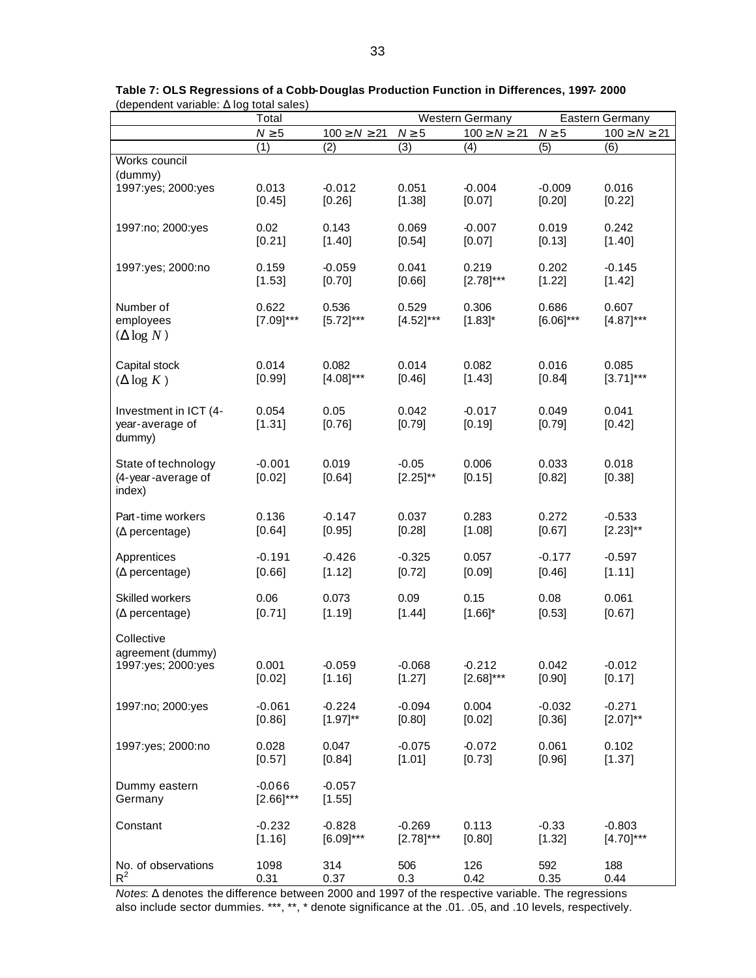|                                                       | Total                    |                      |                          | Western Germany            | Eastern Germany         |                       |
|-------------------------------------------------------|--------------------------|----------------------|--------------------------|----------------------------|-------------------------|-----------------------|
|                                                       | $N \geq 5$               | $100 \geq N \geq 21$ | $N \geq 5$               | $100 \geq N \geq 21$       | $N \geq 5$              | $100 \ge N \ge 21$    |
|                                                       | (1)                      | (2)                  | (3)                      | (4)                        | (5)                     | (6)                   |
| Works council                                         |                          |                      |                          |                            |                         |                       |
| (dummy)                                               | 0.013                    | $-0.012$             | 0.051                    | $-0.004$                   | $-0.009$                | 0.016                 |
| 1997:yes; 2000:yes                                    | [0.45]                   | [0.26]               | [1.38]                   | [0.07]                     | [0.20]                  | [0.22]                |
| 1997:no; 2000:yes                                     | 0.02                     | 0.143                | 0.069                    | $-0.007$                   | 0.019                   | 0.242                 |
|                                                       | [0.21]                   | [1.40]               | [0.54]                   | [0.07]                     | [0.13]                  | [1.40]                |
| 1997:yes; 2000:no                                     | 0.159                    | $-0.059$             | 0.041                    | 0.219                      | 0.202                   | $-0.145$              |
|                                                       | [1.53]                   | [0.70]               | [0.66]                   | $[2.78]^{***}$             | [1.22]                  | [1.42]                |
| Number of<br>employees<br>$(\Delta \log N)$           | 0.622<br>$[7.09]$ ***    | 0.536<br>$[5.72]***$ | 0.529<br>$[4.52]$ ***    | 0.306<br>$[1.83]$ *        | 0.686<br>$[6.06]^{***}$ | 0.607<br>$[4.87]$ *** |
| Capital stock                                         | 0.014                    | 0.082                | 0.014                    | 0.082                      | 0.016                   | 0.085                 |
| $(\Delta \log K)$                                     | [0.99]                   | $[4.08]$ ***         | [0.46]                   | [1.43]                     | [0.84]                  | $[3.71]$ ***          |
| Investment in ICT (4-<br>year-average of<br>dummy)    | 0.054<br>[1.31]          | 0.05<br>[0.76]       | 0.042<br>[0.79]          | $-0.017$<br>[0.19]         | 0.049<br>[0.79]         | 0.041<br>[0.42]       |
| State of technology<br>(4-year-average of<br>index)   | $-0.001$<br>[0.02]       | 0.019<br>[0.64]      | $-0.05$<br>$[2.25]^{**}$ | 0.006<br>[0.15]            | 0.033<br>[0.82]         | 0.018<br>[0.38]       |
| Part-time workers                                     | 0.136                    | $-0.147$             | 0.037                    | 0.283                      | 0.272                   | $-0.533$              |
| $(\Delta$ percentage)                                 | [0.64]                   | [0.95]               | [0.28]                   | [1.08]                     | [0.67]                  | $[2.23]^{**}$         |
| Apprentices                                           | $-0.191$                 | $-0.426$             | $-0.325$                 | 0.057                      | $-0.177$                | $-0.597$              |
| $(\Delta$ percentage)                                 | [0.66]                   | [1.12]               | [0.72]                   | [0.09]                     | [0.46]                  | [1.11]                |
| Skilled workers                                       | 0.06                     | 0.073                | 0.09                     | 0.15                       | 0.08                    | 0.061                 |
| $(\Delta$ percentage)                                 | [0.71]                   | [1.19]               | [1.44]                   | $[1.66]$ *                 | [0.53]                  | [0.67]                |
| Collective<br>agreement (dummy)<br>1997:yes; 2000:yes | 0.001<br>[0.02]          | $-0.059$<br>[1.16]   | $-0.068$<br>[1.27]       | $-0.212$<br>$[2.68]^{***}$ | 0.042<br>[0.90]         | $-0.012$<br>[0.17]    |
| 1997:no; 2000:yes                                     | $-0.061$                 | $-0.224$             | $-0.094$                 | 0.004                      | $-0.032$                | $-0.271$              |
|                                                       | [0.86]                   | $[1.97]^{**}$        | [0.80]                   | [0.02]                     | [0.36]                  | $[2.07]^{**}$         |
| 1997:yes; 2000:no                                     | 0.028                    | 0.047                | $-0.075$                 | $-0.072$                   | 0.061                   | 0.102                 |
|                                                       | [0.57]                   | [0.84]               | [1.01]                   | [0.73]                     | [0.96]                  | [1.37]                |
| Dummy eastern<br>Germany                              | $-0.066$<br>$[2.66]$ *** | $-0.057$<br>[1.55]   |                          |                            |                         |                       |
| Constant                                              | $-0.232$                 | $-0.828$             | $-0.269$                 | 0.113                      | $-0.33$                 | $-0.803$              |
|                                                       | [1.16]                   | $[6.09]^{***}$       | $[2.78]$ ***             | [0.80]                     | [1.32]                  | $[4.70]$ ***          |
| No. of observations                                   | 1098                     | 314                  | 506                      | 126                        | 592                     | 188                   |
| $R^2$                                                 | 0.31                     | 0.37                 | 0.3                      | 0.42                       | 0.35                    | 0.44                  |

**Table 7: OLS Regressions of a Cobb-Douglas Production Function in Differences, 1997- 2000**  (dependent variable: **D** log total sales)

*Notes*: Δ denotes the difference between 2000 and 1997 of the respective variable. The regressions also include sector dummies. \*\*\*, \*\*, \* denote significance at the .01. .05, and .10 levels, respectively.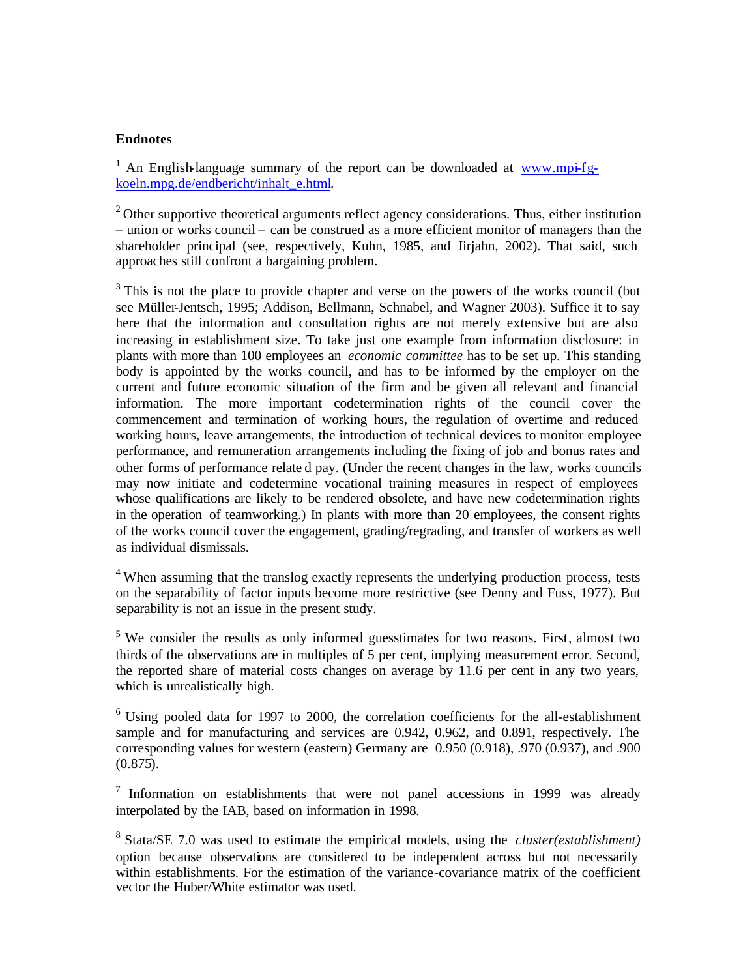#### **Endnotes**

 $\overline{a}$ 

<sup>1</sup> An English-language summary of the report can be downloaded at www.mpi-fgkoeln.mpg.de/endbericht/inhalt\_e.html.

 $2^2$  Other supportive theoretical arguments reflect agency considerations. Thus, either institution – union or works council – can be construed as a more efficient monitor of managers than the shareholder principal (see, respectively, Kuhn, 1985, and Jirjahn, 2002). That said, such approaches still confront a bargaining problem.

 $3$  This is not the place to provide chapter and verse on the powers of the works council (but see Müller-Jentsch, 1995; Addison, Bellmann, Schnabel, and Wagner 2003). Suffice it to say here that the information and consultation rights are not merely extensive but are also increasing in establishment size. To take just one example from information disclosure: in plants with more than 100 employees an *economic committee* has to be set up. This standing body is appointed by the works council, and has to be informed by the employer on the current and future economic situation of the firm and be given all relevant and financial information. The more important codetermination rights of the council cover the commencement and termination of working hours, the regulation of overtime and reduced working hours, leave arrangements, the introduction of technical devices to monitor employee performance, and remuneration arrangements including the fixing of job and bonus rates and other forms of performance relate d pay. (Under the recent changes in the law, works councils may now initiate and codetermine vocational training measures in respect of employees whose qualifications are likely to be rendered obsolete, and have new codetermination rights in the operation of teamworking.) In plants with more than 20 employees, the consent rights of the works council cover the engagement, grading/regrading, and transfer of workers as well as individual dismissals.

<sup>4</sup> When assuming that the translog exactly represents the underlying production process, tests on the separability of factor inputs become more restrictive (see Denny and Fuss, 1977). But separability is not an issue in the present study.

<sup>5</sup> We consider the results as only informed guesstimates for two reasons. First, almost two thirds of the observations are in multiples of 5 per cent, implying measurement error. Second, the reported share of material costs changes on average by 11.6 per cent in any two years, which is unrealistically high.

 $6$  Using pooled data for 1997 to 2000, the correlation coefficients for the all-establishment sample and for manufacturing and services are 0.942, 0.962, and 0.891, respectively. The corresponding values for western (eastern) Germany are 0.950 (0.918), .970 (0.937), and .900 (0.875).

 $7$  Information on establishments that were not panel accessions in 1999 was already interpolated by the IAB, based on information in 1998.

8 Stata/SE 7.0 was used to estimate the empirical models, using the *cluster(establishment)* option because observations are considered to be independent across but not necessarily within establishments. For the estimation of the variance-covariance matrix of the coefficient vector the Huber/White estimator was used.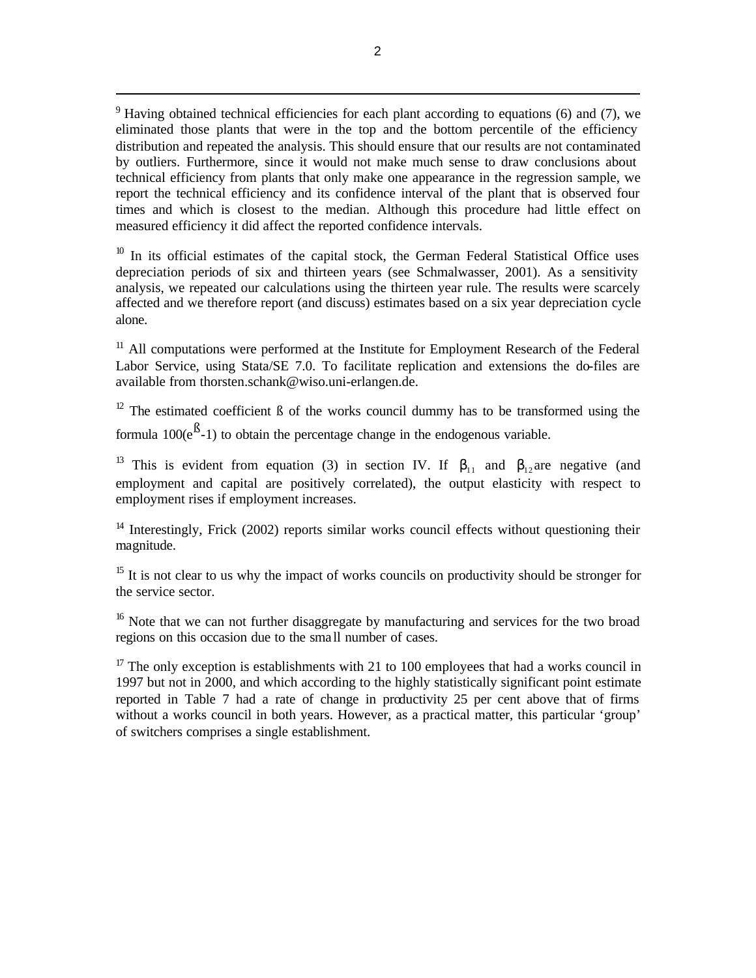$9$  Having obtained technical efficiencies for each plant according to equations (6) and (7), we eliminated those plants that were in the top and the bottom percentile of the efficiency distribution and repeated the analysis. This should ensure that our results are not contaminated by outliers. Furthermore, since it would not make much sense to draw conclusions about technical efficiency from plants that only make one appearance in the regression sample, we report the technical efficiency and its confidence interval of the plant that is observed four times and which is closest to the median. Although this procedure had little effect on measured efficiency it did affect the reported confidence intervals.

 $10$  In its official estimates of the capital stock, the German Federal Statistical Office uses depreciation periods of six and thirteen years (see Schmalwasser, 2001). As a sensitivity analysis, we repeated our calculations using the thirteen year rule. The results were scarcely affected and we therefore report (and discuss) estimates based on a six year depreciation cycle alone.

<sup>11</sup> All computations were performed at the Institute for Employment Research of the Federal Labor Service, using Stata/SE 7.0. To facilitate replication and extensions the do-files are available from thorsten.schank@wiso.uni-erlangen.de.

<sup>12</sup> The estimated coefficient  $\beta$  of the works council dummy has to be transformed using the formula  $100(e^{B}-1)$  to obtain the percentage change in the endogenous variable.

<sup>13</sup> This is evident from equation (3) in section IV. If  $b_{11}$  and  $b_{12}$  are negative (and employment and capital are positively correlated), the output elasticity with respect to employment rises if employment increases.

 $14$  Interestingly, Frick (2002) reports similar works council effects without questioning their magnitude.

<sup>15</sup> It is not clear to us why the impact of works councils on productivity should be stronger for the service sector.

<sup>16</sup> Note that we can not further disaggregate by manufacturing and services for the two broad regions on this occasion due to the sma ll number of cases.

 $17$  The only exception is establishments with 21 to 100 employees that had a works council in 1997 but not in 2000, and which according to the highly statistically significant point estimate reported in Table 7 had a rate of change in productivity 25 per cent above that of firms without a works council in both years. However, as a practical matter, this particular 'group' of switchers comprises a single establishment.

 $\overline{a}$